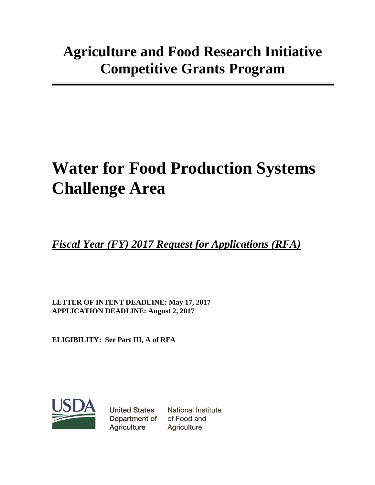# **Water for Food Production Systems Challenge Area**

*Fiscal Year (FY) 2017 Request for Applications (RFA)*

**LETTER OF INTENT DEADLINE: May 17, 2017 APPLICATION DEADLINE: August 2, 2017**

**ELIGIBILITY: See Part III, A of RFA**



**United States** Department of Agriculture

National Institute of Food and Agriculture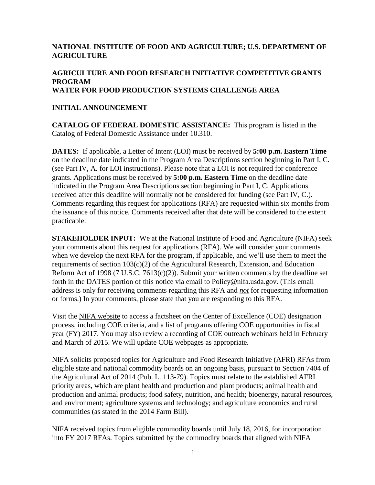## **NATIONAL INSTITUTE OF FOOD AND AGRICULTURE; U.S. DEPARTMENT OF AGRICULTURE**

## **AGRICULTURE AND FOOD RESEARCH INITIATIVE COMPETITIVE GRANTS PROGRAM WATER FOR FOOD PRODUCTION SYSTEMS CHALLENGE AREA**

#### **INITIAL ANNOUNCEMENT**

**CATALOG OF FEDERAL DOMESTIC ASSISTANCE:** This program is listed in the Catalog of Federal Domestic Assistance under 10.310.

**DATES:** If applicable, a Letter of Intent (LOI) must be received by **5:00 p.m. Eastern Time** on the deadline date indicated in the Program Area Descriptions section beginning in Part I, C. (see Part IV, A. for LOI instructions). Please note that a LOI is not required for conference grants. Applications must be received by **5:00 p.m. Eastern Time** on the deadline date indicated in the Program Area Descriptions section beginning in Part I, C. Applications received after this deadline will normally not be considered for funding (see Part IV, C.). Comments regarding this request for applications (RFA) are requested within six months from the issuance of this notice. Comments received after that date will be considered to the extent practicable.

**STAKEHOLDER INPUT:** We at the National Institute of Food and Agriculture (NIFA) seek your comments about this request for applications (RFA). We will consider your comments when we develop the next RFA for the program, if applicable, and we'll use them to meet the requirements of section 103(c)(2) of the Agricultural Research, Extension, and Education Reform Act of 1998 (7 U.S.C. 7613(c)(2)). Submit your written comments by the deadline set forth in the DATES portion of this notice via email to [Policy@nifa.usda.gov.](mailto:Policy@nifa.usda.gov) (This email address is only for receiving comments regarding this RFA and *not* for requesting information or forms.) In your comments, please state that you are responding to this RFA.

Visit the [NIFA website](http://nifa.usda.gov/centers-excellence) to access a factsheet on the Center of Excellence (COE) designation process, including COE criteria, and a list of programs offering COE opportunities in fiscal year (FY) 2017. You may also review a recording of COE outreach webinars held in February and March of 2015. We will update COE webpages as appropriate.

NIFA solicits proposed topics for [Agriculture and Food Research Initiative](https://nifa.usda.gov/program/agriculture-and-food-research-initiative-afri) (AFRI) RFAs from eligible state and national commodity boards on an ongoing basis, pursuant to Section 7404 of the Agricultural Act of 2014 (Pub. L. 113-79). Topics must relate to the established AFRI priority areas, which are plant health and production and plant products; animal health and production and animal products; food safety, nutrition, and health; bioenergy, natural resources, and environment; agriculture systems and technology; and agriculture economics and rural communities (as stated in the 2014 Farm Bill).

NIFA received topics from eligible commodity boards until July 18, 2016, for incorporation into FY 2017 RFAs. Topics submitted by the commodity boards that aligned with NIFA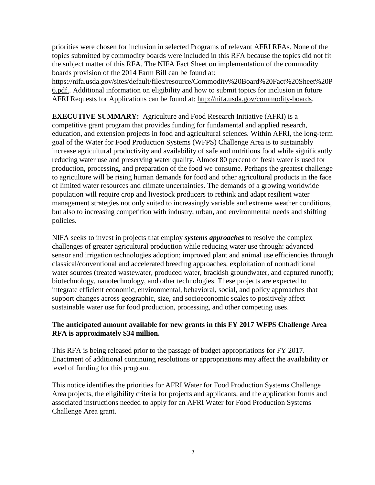priorities were chosen for inclusion in selected Programs of relevant AFRI RFAs. None of the topics submitted by commodity boards were included in this RFA because the topics did not fit the subject matter of this RFA. The NIFA Fact Sheet on implementation of the commodity boards provision of the 2014 Farm Bill can be found at:

[https://nifa.usda.gov/sites/default/files/resource/Commodity%20Board%20Fact%20Sheet%20P](https://nifa.usda.gov/sites/default/files/resource/Commodity%20Board%20Fact%20Sheet%20P6.pdf) [6.pdf..](https://nifa.usda.gov/sites/default/files/resource/Commodity%20Board%20Fact%20Sheet%20P6.pdf) Additional information on eligibility and how to submit topics for inclusion in future AFRI Requests for Applications can be found at: [http://nifa.usda.gov/commodity-boards.](http://nifa.usda.gov/commodity-boards)

**EXECUTIVE SUMMARY:** Agriculture and Food Research Initiative (AFRI) is a competitive grant program that provides funding for fundamental and applied research, education, and extension projects in food and agricultural sciences. Within AFRI, the long-term goal of the Water for Food Production Systems (WFPS) Challenge Area is to sustainably increase agricultural productivity and availability of safe and nutritious food while significantly reducing water use and preserving water quality. Almost 80 percent of fresh water is used for production, processing, and preparation of the food we consume. Perhaps the greatest challenge to agriculture will be rising human demands for food and other agricultural products in the face of limited water resources and climate uncertainties. The demands of a growing worldwide population will require crop and livestock producers to rethink and adapt resilient water management strategies not only suited to increasingly variable and extreme weather conditions, but also to increasing competition with industry, urban, and environmental needs and shifting policies.

NIFA seeks to invest in projects that employ *systems approaches* to resolve the complex challenges of greater agricultural production while reducing water use through: advanced sensor and irrigation technologies adoption; improved plant and animal use efficiencies through classical/conventional and accelerated breeding approaches, exploitation of nontraditional water sources (treated wastewater, produced water, brackish groundwater, and captured runoff); biotechnology, nanotechnology, and other technologies. These projects are expected to integrate efficient economic, environmental, behavioral, social, and policy approaches that support changes across geographic, size, and socioeconomic scales to positively affect sustainable water use for food production, processing, and other competing uses.

## **The anticipated amount available for new grants in this FY 2017 WFPS Challenge Area RFA is approximately \$34 million.**

This RFA is being released prior to the passage of budget appropriations for FY 2017. Enactment of additional continuing resolutions or appropriations may affect the availability or level of funding for this program.

This notice identifies the priorities for AFRI Water for Food Production Systems Challenge Area projects, the eligibility criteria for projects and applicants, and the application forms and associated instructions needed to apply for an AFRI Water for Food Production Systems Challenge Area grant.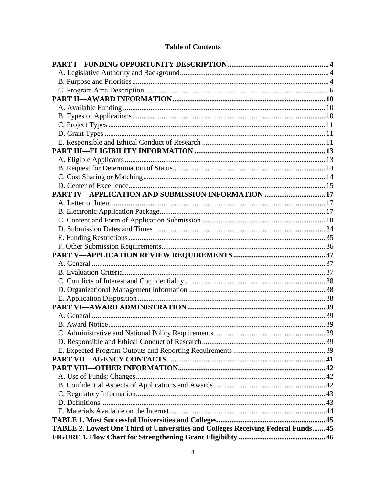# **Table of Contents**

| PART IV-APPLICATION AND SUBMISSION INFORMATION  17                                |  |
|-----------------------------------------------------------------------------------|--|
|                                                                                   |  |
|                                                                                   |  |
|                                                                                   |  |
|                                                                                   |  |
|                                                                                   |  |
|                                                                                   |  |
|                                                                                   |  |
|                                                                                   |  |
|                                                                                   |  |
|                                                                                   |  |
|                                                                                   |  |
|                                                                                   |  |
|                                                                                   |  |
|                                                                                   |  |
|                                                                                   |  |
|                                                                                   |  |
|                                                                                   |  |
|                                                                                   |  |
|                                                                                   |  |
|                                                                                   |  |
|                                                                                   |  |
|                                                                                   |  |
|                                                                                   |  |
|                                                                                   |  |
|                                                                                   |  |
|                                                                                   |  |
| TABLE 2. Lowest One Third of Universities and Colleges Receiving Federal Funds 45 |  |
|                                                                                   |  |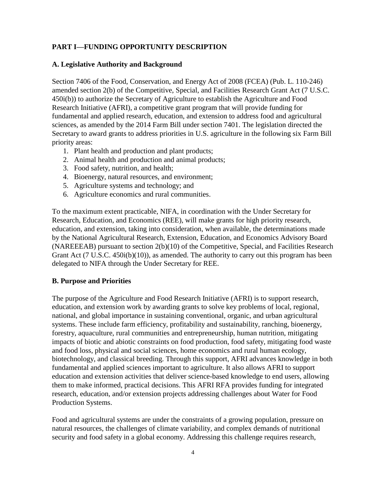# <span id="page-4-0"></span>**PART I—FUNDING OPPORTUNITY DESCRIPTION**

#### <span id="page-4-1"></span>**A. Legislative Authority and Background**

Section 7406 of the Food, Conservation, and Energy Act of 2008 (FCEA) (Pub. L. 110-246) amended section 2(b) of the Competitive, Special, and Facilities Research Grant Act (7 U.S.C. 450i(b)) to authorize the Secretary of Agriculture to establish the Agriculture and Food Research Initiative (AFRI), a competitive grant program that will provide funding for fundamental and applied research, education, and extension to address food and agricultural sciences, as amended by the 2014 Farm Bill under section 7401. The legislation directed the Secretary to award grants to address priorities in U.S. agriculture in the following six Farm Bill priority areas:

- 1. Plant health and production and plant products;
- 2. Animal health and production and animal products;
- 3. Food safety, nutrition, and health;
- 4. Bioenergy, natural resources, and environment;
- 5. Agriculture systems and technology; and
- 6. Agriculture economics and rural communities.

To the maximum extent practicable, NIFA, in coordination with the Under Secretary for Research, Education, and Economics (REE), will make grants for high priority research, education, and extension, taking into consideration, when available, the determinations made by the National Agricultural Research, Extension, Education, and Economics Advisory Board (NAREEEAB) pursuant to section 2(b)(10) of the Competitive, Special, and Facilities Research Grant Act (7 U.S.C. 450i(b)(10)), as amended. The authority to carry out this program has been delegated to NIFA through the Under Secretary for REE.

## <span id="page-4-2"></span>**B. Purpose and Priorities**

The purpose of the Agriculture and Food Research Initiative (AFRI) is to support research, education, and extension work by awarding grants to solve key problems of local, regional, national, and global importance in sustaining conventional, organic, and urban agricultural systems. These include farm efficiency, profitability and sustainability, ranching, bioenergy, forestry, aquaculture, rural communities and entrepreneurship, human nutrition, mitigating impacts of biotic and abiotic constraints on food production, food safety, mitigating food waste and food loss, physical and social sciences, home economics and rural human ecology, biotechnology, and classical breeding. Through this support, AFRI advances knowledge in both fundamental and applied sciences important to agriculture. It also allows AFRI to support education and extension activities that deliver science-based knowledge to end users, allowing them to make informed, practical decisions. This AFRI RFA provides funding for integrated research, education, and/or extension projects addressing challenges about Water for Food Production Systems.

Food and agricultural systems are under the constraints of a growing population, pressure on natural resources, the challenges of climate variability, and complex demands of nutritional security and food safety in a global economy. Addressing this challenge requires research,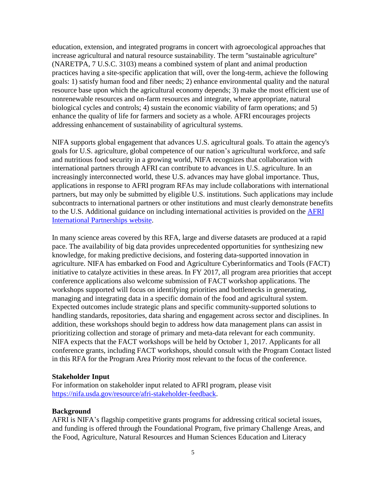education, extension, and integrated programs in concert with agroecological approaches that increase agricultural and natural resource sustainability. The term ''sustainable agriculture'' (NARETPA, 7 U.S.C. 3103) means a combined system of plant and animal production practices having a site-specific application that will, over the long-term, achieve the following goals: 1) satisfy human food and fiber needs; 2) enhance environmental quality and the natural resource base upon which the agricultural economy depends; 3) make the most efficient use of nonrenewable resources and on-farm resources and integrate, where appropriate, natural biological cycles and controls; 4) sustain the economic viability of farm operations; and 5) enhance the quality of life for farmers and society as a whole. AFRI encourages projects addressing enhancement of sustainability of agricultural systems.

NIFA supports global engagement that advances U.S. agricultural goals. To attain the agency's goals for U.S. agriculture, global competence of our nation's agricultural workforce, and safe and nutritious food security in a growing world, NIFA recognizes that collaboration with international partners through AFRI can contribute to advances in U.S. agriculture. In an increasingly interconnected world, these U.S. advances may have global importance. Thus, applications in response to AFRI program RFAs may include collaborations with international partners, but may only be submitted by eligible U.S. institutions. Such applications may include subcontracts to international partners or other institutions and must clearly demonstrate benefits to the U.S. Additional guidance on including international activities is provided on the [AFRI](https://nifa.usda.gov/resource/afri-international-partnerships) [International Partnerships](https://nifa.usda.gov/resource/afri-international-partnerships) website.

In many science areas covered by this RFA, large and diverse datasets are produced at a rapid pace. The availability of big data provides unprecedented opportunities for synthesizing new knowledge, for making predictive decisions, and fostering data-supported innovation in agriculture. NIFA has embarked on Food and Agriculture Cyberinformatics and Tools (FACT) initiative to catalyze activities in these areas. In FY 2017, all program area priorities that accept conference applications also welcome submission of FACT workshop applications. The workshops supported will focus on identifying priorities and bottlenecks in generating, managing and integrating data in a specific domain of the food and agricultural system. Expected outcomes include strategic plans and specific community-supported solutions to handling standards, repositories, data sharing and engagement across sector and disciplines. In addition, these workshops should begin to address how data management plans can assist in prioritizing collection and storage of primary and meta-data relevant for each community. NIFA expects that the FACT workshops will be held by October 1, 2017. Applicants for all conference grants, including FACT workshops, should consult with the Program Contact listed in this RFA for the Program Area Priority most relevant to the focus of the conference.

#### **Stakeholder Input**

For information on stakeholder input related to AFRI program, please visit [https://nifa.usda.gov/resource/afri-stakeholder-feedback.](https://nifa.usda.gov/resource/afri-stakeholder-feedback)

#### **Background**

AFRI is NIFA's flagship competitive grants programs for addressing critical societal issues, and funding is offered through the Foundational Program, five primary Challenge Areas, and the Food, Agriculture, Natural Resources and Human Sciences Education and Literacy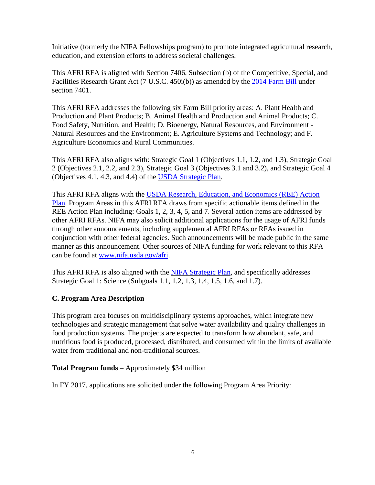Initiative (formerly the NIFA Fellowships program) to promote integrated agricultural research, education, and extension efforts to address societal challenges.

This AFRI RFA is aligned with Section 7406, Subsection (b) of the Competitive, Special, and Facilities Research Grant Act (7 U.S.C. 450i(b)) as amended by the 2014 [Farm](http://www.agriculture.senate.gov/imo/media/doc/Farm_Bill_Final.pdf) Bill under section 7401.

This AFRI RFA addresses the following six Farm Bill priority areas: A. Plant Health and Production and Plant Products; B. Animal Health and Production and Animal Products; C. Food Safety, Nutrition, and Health; D. Bioenergy, Natural Resources, and Environment - Natural Resources and the Environment; E. Agriculture Systems and Technology; and F. Agriculture Economics and Rural Communities.

This AFRI RFA also aligns with: Strategic Goal 1 (Objectives 1.1, 1.2, and 1.3), Strategic Goal 2 (Objectives 2.1, 2.2, and 2.3), Strategic Goal 3 (Objectives 3.1 and 3.2), and Strategic Goal 4 (Objectives 4.1, 4.3, and 4.4) of the USDA [Strategic](http://www.ocfo.usda.gov/usdasp/sp2014/usda-strategic-plan-fy-2014-2018.pdf) Plan.

This AFRI RFA aligns with the USDA Research, Education, and [Economics](https://www.ree.usda.gov/) (REE) Action [Plan.](https://www.ree.usda.gov/) Program Areas in this AFRI RFA draws from specific actionable items defined in the REE Action Plan including: Goals 1, 2, 3, 4, 5, and 7. Several action items are addressed by other AFRI RFAs. NIFA may also solicit additional applications for the usage of AFRI funds through other announcements, including supplemental AFRI RFAs or RFAs issued in conjunction with other federal agencies. Such announcements will be made public in the same manner as this announcement. Other sources of NIFA funding for work relevant to this RFA can be found at [www.nifa.usda.gov/afri.](http://www.nifa.usda.gov/afri)

This AFRI RFA is also aligned with the NIFA [Strategic](https://nifa.usda.gov/resource/nifa-strategic-plan-fy2014-fy2018) Plan, and specifically addresses Strategic Goal 1: Science (Subgoals 1.1, 1.2, 1.3, 1.4, 1.5, 1.6, and 1.7).

## <span id="page-6-0"></span>**C. Program Area Description**

This program area focuses on multidisciplinary systems approaches, which integrate new technologies and strategic management that solve water availability and quality challenges in food production systems. The projects are expected to transform how abundant, safe, and nutritious food is produced, processed, distributed, and consumed within the limits of available water from traditional and non-traditional sources.

#### **Total Program funds** – Approximately \$34 million

In FY 2017, applications are solicited under the following Program Area Priority: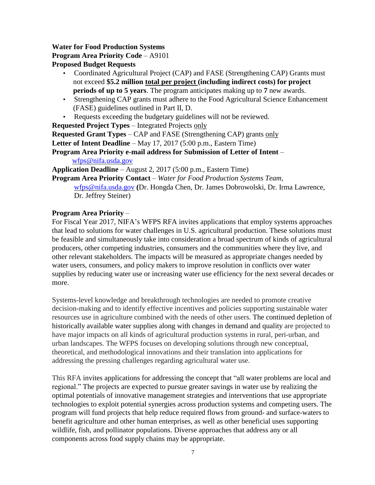## **Water for Food Production Systems**

#### **Program Area Priority Code** – A9101

**Proposed Budget Requests**

- Coordinated Agricultural Project (CAP) and FASE (Strengthening CAP) Grants must not exceed **\$5.2 million total per project (including indirect costs) for project periods of up to 5 years**. The program anticipates making up to **7** new awards.
- Strengthening CAP grants must adhere to the Food Agricultural Science Enhancement (FASE) guidelines outlined in Part II, D.
- Requests exceeding the budgetary guidelines will not be reviewed.

**Requested Project Types** – Integrated Projects only

**Requested Grant Types** – CAP and FASE (Strengthening CAP) grants only

**Letter of Intent Deadline** – May 17, 2017 (5:00 p.m., Eastern Time)

**Program Area Priority e-mail address for Submission of Letter of Intent** – [wfps@nifa.usda.gov](mailto:wfps@nifa.usda.gov)

**Application Deadline** – August 2, 2017 (5:00 p.m., Eastern Time)

**Program Area Priority Contact** – *Water for Food Production Systems Team,*

[wfps@nifa.usda.gov](mailto:wfps@nifa.usda.gov) **(**Dr. Hongda Chen, Dr. James Dobrowolski, Dr. Irma Lawrence, Dr. Jeffrey Steiner)

#### **Program Area Priority** –

For Fiscal Year 2017, NIFA's WFPS RFA invites applications that employ systems approaches that lead to solutions for water challenges in U.S. agricultural production. These solutions must be feasible and simultaneously take into consideration a broad spectrum of kinds of agricultural producers, other competing industries, consumers and the communities where they live, and other relevant stakeholders. The impacts will be measured as appropriate changes needed by water users, consumers, and policy makers to improve resolution in conflicts over water supplies by reducing water use or increasing water use efficiency for the next several decades or more.

Systems-level knowledge and breakthrough technologies are needed to promote creative decision-making and to identify effective incentives and policies supporting sustainable water resources use in agriculture combined with the needs of other users. The continued depletion of historically available water supplies along with changes in demand and quality are projected to have major impacts on all kinds of agricultural production systems in rural, peri-urban, and urban landscapes. The WFPS focuses on developing solutions through new conceptual, theoretical, and methodological innovations and their translation into applications for addressing the pressing challenges regarding agricultural water use.

This RFA invites applications for addressing the concept that "all water problems are local and regional." The projects are expected to pursue greater savings in water use by realizing the optimal potentials of innovative management strategies and interventions that use appropriate technologies to exploit potential synergies across production systems and competing users. The program will fund projects that help reduce required flows from ground- and surface-waters to benefit agriculture and other human enterprises, as well as other beneficial uses supporting wildlife, fish, and pollinator populations. Diverse approaches that address any or all components across food supply chains may be appropriate.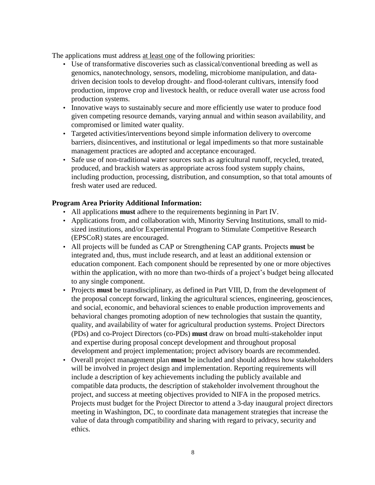The applications must address at least one of the following priorities:

- Use of transformative discoveries such as classical/conventional breeding as well as genomics, nanotechnology, sensors, modeling, microbiome manipulation, and datadriven decision tools to develop drought- and flood-tolerant cultivars, intensify food production, improve crop and livestock health, or reduce overall water use across food production systems.
- Innovative ways to sustainably secure and more efficiently use water to produce food given competing resource demands, varying annual and within season availability, and compromised or limited water quality.
- Targeted activities/interventions beyond simple information delivery to overcome barriers, disincentives, and institutional or legal impediments so that more sustainable management practices are adopted and acceptance encouraged.
- Safe use of non-traditional water sources such as agricultural runoff, recycled, treated, produced, and brackish waters as appropriate across food system supply chains, including production, processing, distribution, and consumption, so that total amounts of fresh water used are reduced.

## **Program Area Priority Additional Information:**

- All applications **must** adhere to the requirements beginning in Part IV.
- Applications from, and collaboration with, Minority Serving Institutions, small to midsized institutions, and/or Experimental Program to Stimulate Competitive Research (EPSCoR) states are encouraged.
- All projects will be funded as CAP or Strengthening CAP grants. Projects **must** be integrated and, thus, must include research, and at least an additional extension or education component. Each component should be represented by one or more objectives within the application, with no more than two-thirds of a project's budget being allocated to any single component.
- Projects **must** be transdisciplinary, as defined in Part VIII, D, from the development of the proposal concept forward, linking the agricultural sciences, engineering, geosciences, and social, economic, and behavioral sciences to enable production improvements and behavioral changes promoting adoption of new technologies that sustain the quantity, quality, and availability of water for agricultural production systems. Project Directors (PDs) and co-Project Directors (co-PDs) **must** draw on broad multi-stakeholder input and expertise during proposal concept development and throughout proposal development and project implementation; project advisory boards are recommended.
- Overall project management plan **must** be included and should address how stakeholders will be involved in project design and implementation. Reporting requirements will include a description of key achievements including the publicly available and compatible data products, the description of stakeholder involvement throughout the project, and success at meeting objectives provided to NIFA in the proposed metrics. Projects must budget for the Project Director to attend a 3-day inaugural project directors meeting in Washington, DC, to coordinate data management strategies that increase the value of data through compatibility and sharing with regard to privacy, security and ethics.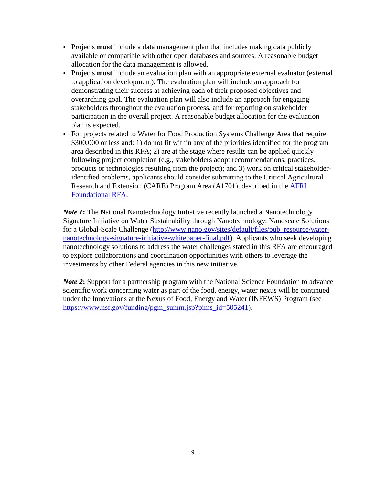- Projects **must** include a data management plan that includes making data publicly available or compatible with other open databases and sources. A reasonable budget allocation for the data management is allowed.
- Projects **must** include an evaluation plan with an appropriate external evaluator (external to application development). The evaluation plan will include an approach for demonstrating their success at achieving each of their proposed objectives and overarching goal. The evaluation plan will also include an approach for engaging stakeholders throughout the evaluation process, and for reporting on stakeholder participation in the overall project. A reasonable budget allocation for the evaluation plan is expected.
- For projects related to Water for Food Production Systems Challenge Area that require \$300,000 or less and: 1) do not fit within any of the priorities identified for the program area described in this RFA; 2) are at the stage where results can be applied quickly following project completion (e.g., stakeholders adopt recommendations, practices, products or technologies resulting from the project); and 3) work on critical stakeholderidentified problems, applicants should consider submitting to the Critical Agricultural Research and Extension (CARE) Program Area (A1701), described in the [AFRI](https://nifa.usda.gov/funding-opportunity/agriculture-and-food-research-initiative-foundational-program)  [Foundational RFA.](https://nifa.usda.gov/funding-opportunity/agriculture-and-food-research-initiative-foundational-program)

*Note* 1: The National Nanotechnology Initiative recently launched a Nanotechnology Signature Initiative on Water Sustainability through Nanotechnology: Nanoscale Solutions for a Global-Scale Challenge [\(http://www.nano.gov/sites/default/files/pub\\_resource/water](http://www.nano.gov/sites/default/files/pub_resource/water-nanotechnology-signature-initiative-whitepaper-final.pdf)[nanotechnology-signature-initiative-whitepaper-final.pdf\)](http://www.nano.gov/sites/default/files/pub_resource/water-nanotechnology-signature-initiative-whitepaper-final.pdf). Applicants who seek developing nanotechnology solutions to address the water challenges stated in this RFA are encouraged to explore collaborations and coordination opportunities with others to leverage the investments by other Federal agencies in this new initiative.

*Note 2*: Support for a partnership program with the National Science Foundation to advance scientific work concerning water as part of the food, energy, water nexus will be continued under the Innovations at the Nexus of Food, Energy and Water (INFEWS) Program (see [https://www.nsf.gov/funding/pgm\\_summ.jsp?pims\\_id=505241\)](https://www.nsf.gov/funding/pgm_summ.jsp?pims_id=505241).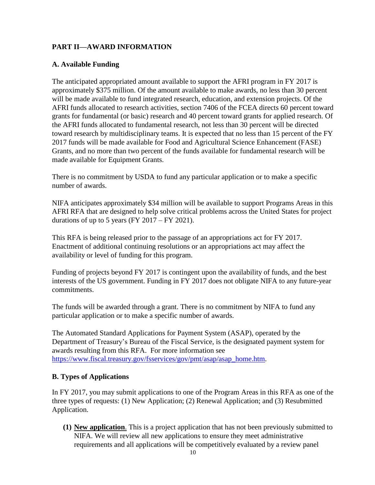# <span id="page-10-0"></span>**PART II—AWARD INFORMATION**

# <span id="page-10-1"></span>**A. Available Funding**

The anticipated appropriated amount available to support the AFRI program in FY 2017 is approximately \$375 million. Of the amount available to make awards, no less than 30 percent will be made available to fund integrated research, education, and extension projects. Of the AFRI funds allocated to research activities, section 7406 of the FCEA directs 60 percent toward grants for fundamental (or basic) research and 40 percent toward grants for applied research. Of the AFRI funds allocated to fundamental research, not less than 30 percent will be directed toward research by multidisciplinary teams. It is expected that no less than 15 percent of the FY 2017 funds will be made available for Food and Agricultural Science Enhancement (FASE) Grants, and no more than two percent of the funds available for fundamental research will be made available for Equipment Grants.

There is no commitment by USDA to fund any particular application or to make a specific number of awards.

NIFA anticipates approximately \$34 million will be available to support Programs Areas in this AFRI RFA that are designed to help solve critical problems across the United States for project durations of up to 5 years (FY 2017 – FY 2021).

This RFA is being released prior to the passage of an appropriations act for FY 2017. Enactment of additional continuing resolutions or an appropriations act may affect the availability or level of funding for this program.

Funding of projects beyond FY 2017 is contingent upon the availability of funds, and the best interests of the US government. Funding in FY 2017 does not obligate NIFA to any future-year commitments.

The funds will be awarded through a grant. There is no commitment by NIFA to fund any particular application or to make a specific number of awards.

The Automated Standard Applications for Payment System (ASAP), operated by the Department of Treasury's Bureau of the Fiscal Service, is the designated payment system for awards resulting from this RFA. For more information see [https://www.fiscal.treasury.gov/fsservices/gov/pmt/asap/asap\\_home.htm.](https://www.fiscal.treasury.gov/fsservices/gov/pmt/asap/asap_home.htm)

## <span id="page-10-2"></span>**B. Types of Applications**

In FY 2017, you may submit applications to one of the Program Areas in this RFA as one of the three types of requests: (1) New Application; (2) Renewal Application; and (3) Resubmitted Application.

**(1) New application**. This is a project application that has not been previously submitted to NIFA. We will review all new applications to ensure they meet administrative requirements and all applications will be competitively evaluated by a review panel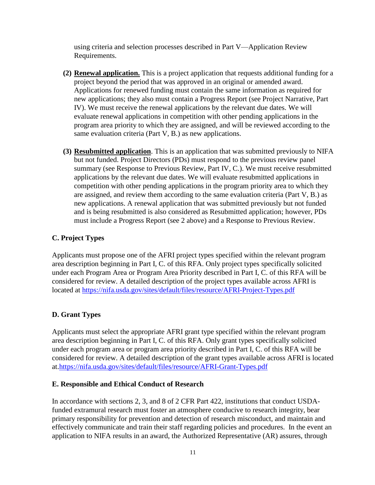using criteria and selection processes described in Part V—Application Review Requirements.

- **(2) Renewal application.** This is a project application that requests additional funding for a project beyond the period that was approved in an original or amended award. Applications for renewed funding must contain the same information as required for new applications; they also must contain a Progress Report (see Project Narrative, Part IV). We must receive the renewal applications by the relevant due dates. We will evaluate renewal applications in competition with other pending applications in the program area priority to which they are assigned, and will be reviewed according to the same evaluation criteria (Part V, B.) as new applications.
- **(3) Resubmitted application**. This is an application that was submitted previously to NIFA but not funded. Project Directors (PDs) must respond to the previous review panel summary (see Response to Previous Review, Part IV, C.). We must receive resubmitted applications by the relevant due dates. We will evaluate resubmitted applications in competition with other pending applications in the program priority area to which they are assigned, and review them according to the same evaluation criteria (Part V, B.) as new applications. A renewal application that was submitted previously but not funded and is being resubmitted is also considered as Resubmitted application; however, PDs must include a Progress Report (see 2 above) and a Response to Previous Review.

#### <span id="page-11-0"></span>**C. Project Types**

Applicants must propose one of the AFRI project types specified within the relevant program area description beginning in Part I, C. of this RFA. Only project types specifically solicited under each Program Area or Program Area Priority described in Part I, C. of this RFA will be considered for review. A detailed description of the project types available across AFRI is located at<https://nifa.usda.gov/sites/default/files/resource/AFRI-Project-Types.pdf>

## <span id="page-11-1"></span>**D. Grant Types**

Applicants must select the appropriate AFRI grant type specified within the relevant program area description beginning in Part I, C. of this RFA. Only grant types specifically solicited under each program area or program area priority described in Part I, C. of this RFA will be considered for review. A detailed description of the grant types available across AFRI is located at[.https://nifa.usda.gov/sites/default/files/resource/AFRI-Grant-Types.pdf](https://nifa.usda.gov/sites/default/files/resource/AFRI-Grant-Types.pdf)

#### <span id="page-11-2"></span>**E. Responsible and Ethical Conduct of Research**

In accordance with sections 2, 3, and 8 of 2 CFR Part 422, institutions that conduct USDAfunded extramural research must foster an atmosphere conducive to research integrity, bear primary responsibility for prevention and detection of research misconduct, and maintain and effectively communicate and train their staff regarding policies and procedures. In the event an application to NIFA results in an award, the Authorized Representative (AR) assures, through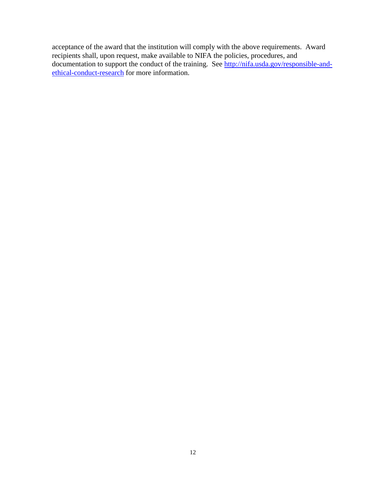acceptance of the award that the institution will comply with the above requirements. Award recipients shall, upon request, make available to NIFA the policies, procedures, and documentation to support the conduct of the training. See <u>http://nifa.usda.gov/responsible-and-</u> [ethical-conduct-research](http://nifa.usda.gov/responsible-and-ethical-conduct-research) for more information.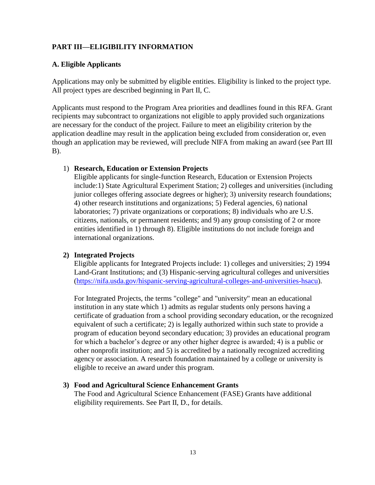# <span id="page-13-0"></span>**PART III—ELIGIBILITY INFORMATION**

# <span id="page-13-1"></span>**A. Eligible Applicants**

Applications may only be submitted by eligible entities. Eligibility is linked to the project type. All project types are described beginning in Part II, C.

Applicants must respond to the Program Area priorities and deadlines found in this RFA. Grant recipients may subcontract to organizations not eligible to apply provided such organizations are necessary for the conduct of the project. Failure to meet an eligibility criterion by the application deadline may result in the application being excluded from consideration or, even though an application may be reviewed, will preclude NIFA from making an award (see Part III B).

# 1) **Research, Education or Extension Projects**

Eligible applicants for single-function Research, Education or Extension Projects include:1) State Agricultural Experiment Station; 2) colleges and universities (including junior colleges offering associate degrees or higher); 3) university research foundations; 4) other research institutions and organizations; 5) Federal agencies, 6) national laboratories; 7) private organizations or corporations; 8) individuals who are U.S. citizens, nationals, or permanent residents; and 9) any group consisting of 2 or more entities identified in 1) through 8). Eligible institutions do not include foreign and international organizations.

## **2) Integrated Projects**

Eligible applicants for Integrated Projects include: 1) colleges and universities; 2) 1994 Land-Grant Institutions; and (3) Hispanic-serving agricultural colleges and universities [\(https://nifa.usda.gov/hispanic-serving-agricultural-colleges-and-universities-hsacu\)](https://nifa.usda.gov/hispanic-serving-agricultural-colleges-and-universities-hsacu).

For Integrated Projects, the terms "college" and "university" mean an educational institution in any state which 1) admits as regular students only persons having a certificate of graduation from a school providing secondary education, or the recognized equivalent of such a certificate; 2) is legally authorized within such state to provide a program of education beyond secondary education; 3) provides an educational program for which a bachelor's degree or any other higher degree is awarded; 4) is a public or other nonprofit institution; and 5) is accredited by a nationally recognized accrediting agency or association. A research foundation maintained by a college or university is eligible to receive an award under this program.

## **3) Food and Agricultural Science Enhancement Grants**

The Food and Agricultural Science Enhancement (FASE) Grants have additional eligibility requirements. See Part II, D., for details.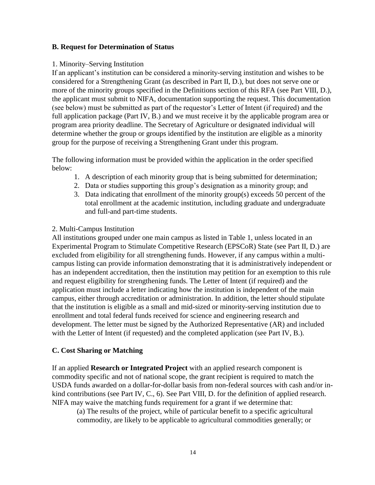#### <span id="page-14-0"></span>**B. Request for Determination of Status**

#### 1. Minority–Serving Institution

If an applicant's institution can be considered a minority-serving institution and wishes to be considered for a Strengthening Grant (as described in Part II, D.), but does not serve one or more of the minority groups specified in the Definitions section of this RFA (see Part VIII, D.), the applicant must submit to NIFA, documentation supporting the request. This documentation (see below) must be submitted as part of the requestor's Letter of Intent (if required) and the full application package (Part IV, B.) and we must receive it by the applicable program area or program area priority deadline. The Secretary of Agriculture or designated individual will determine whether the group or groups identified by the institution are eligible as a minority group for the purpose of receiving a Strengthening Grant under this program.

The following information must be provided within the application in the order specified below:

- 1. A description of each minority group that is being submitted for determination;
- 2. Data or studies supporting this group's designation as a minority group; and
- 3. Data indicating that enrollment of the minority group(s) exceeds 50 percent of the total enrollment at the academic institution, including graduate and undergraduate and full-and part-time students.

#### 2. Multi-Campus Institution

All institutions grouped under one main campus as listed in Table 1, unless located in an Experimental Program to Stimulate Competitive Research (EPSCoR) State (see Part II, D.) are excluded from eligibility for all strengthening funds. However, if any campus within a multicampus listing can provide information demonstrating that it is administratively independent or has an independent accreditation, then the institution may petition for an exemption to this rule and request eligibility for strengthening funds. The Letter of Intent (if required) and the application must include a letter indicating how the institution is independent of the main campus, either through accreditation or administration. In addition, the letter should stipulate that the institution is eligible as a small and mid-sized or minority-serving institution due to enrollment and total federal funds received for science and engineering research and development. The letter must be signed by the Authorized Representative (AR) and included with the Letter of Intent (if requested) and the completed application (see Part IV, B.).

## <span id="page-14-1"></span>**C. Cost Sharing or Matching**

If an applied **Research or Integrated Project** with an applied research component is commodity specific and not of national scope, the grant recipient is required to match the USDA funds awarded on a dollar-for-dollar basis from non-federal sources with cash and/or inkind contributions (see Part IV, C., 6). See Part VIII, D. for the definition of applied research. NIFA may waive the matching funds requirement for a grant if we determine that:

(a) The results of the project, while of particular benefit to a specific agricultural commodity, are likely to be applicable to agricultural commodities generally; or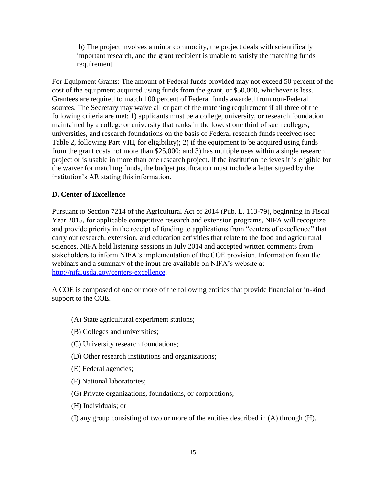b) The project involves a minor commodity, the project deals with scientifically important research, and the grant recipient is unable to satisfy the matching funds requirement.

For Equipment Grants: The amount of Federal funds provided may not exceed 50 percent of the cost of the equipment acquired using funds from the grant, or \$50,000, whichever is less. Grantees are required to match 100 percent of Federal funds awarded from non-Federal sources. The Secretary may waive all or part of the matching requirement if all three of the following criteria are met: 1) applicants must be a college, university, or research foundation maintained by a college or university that ranks in the lowest one third of such colleges, universities, and research foundations on the basis of Federal research funds received (see Table 2, following Part VIII, for eligibility); 2) if the equipment to be acquired using funds from the grant costs not more than \$25,000; and 3) has multiple uses within a single research project or is usable in more than one research project. If the institution believes it is eligible for the waiver for matching funds, the budget justification must include a letter signed by the institution's AR stating this information.

## <span id="page-15-0"></span>**D. Center of Excellence**

Pursuant to Section 7214 of the Agricultural Act of 2014 (Pub. L. 113-79), beginning in Fiscal Year 2015, for applicable competitive research and extension programs, NIFA will recognize and provide priority in the receipt of funding to applications from "centers of excellence" that carry out research, extension, and education activities that relate to the food and agricultural sciences. NIFA held listening sessions in July 2014 and accepted written comments from stakeholders to inform NIFA's implementation of the COE provision. Information from the webinars and a summary of the input are available on NIFA's website at [http://nifa.usda.gov/centers-excellence.](http://nifa.usda.gov/centers-excellence)

A COE is composed of one or more of the following entities that provide financial or in-kind support to the COE.

- (A) State agricultural experiment stations;
- (B) Colleges and universities;
- (C) University research foundations;
- (D) Other research institutions and organizations;
- (E) Federal agencies;
- (F) National laboratories;
- (G) Private organizations, foundations, or corporations;
- (H) Individuals; or
- (I) any group consisting of two or more of the entities described in (A) through (H).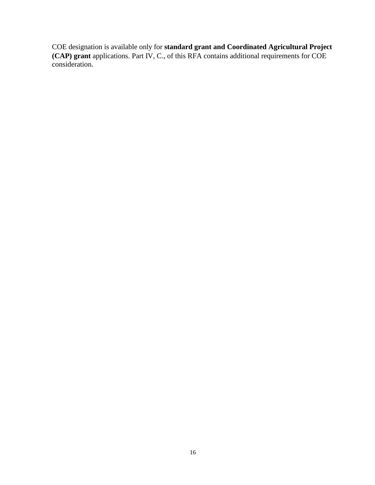COE designation is available only for **standard grant and Coordinated Agricultural Project (CAP) grant** applications. Part IV, C., of this RFA contains additional requirements for COE consideration.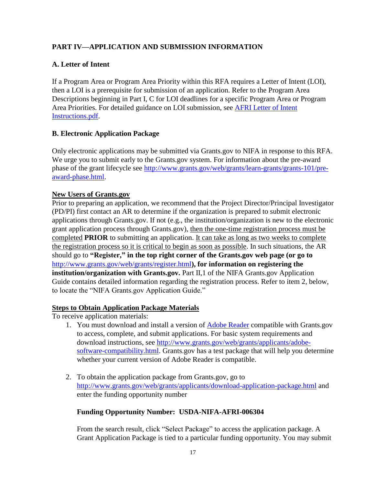# <span id="page-17-0"></span>**PART IV—APPLICATION AND SUBMISSION INFORMATION**

# <span id="page-17-1"></span>**A. Letter of Intent**

If a Program Area or Program Area Priority within this RFA requires a Letter of Intent (LOI), then a LOI is a prerequisite for submission of an application. Refer to the Program Area Descriptions beginning in Part I, C for LOI deadlines for a specific Program Area or Program Area Priorities. For detailed guidance on LOI submission, see [AFRI Letter of Intent](http://nifa.usda.gov/sites/default/files/asset/document/LOI_letter_of_intent_NIFA.pdf)  [Instructions.pdf.](http://nifa.usda.gov/sites/default/files/asset/document/LOI_letter_of_intent_NIFA.pdf)

# <span id="page-17-2"></span>**B. Electronic Application Package**

Only electronic applications may be submitted via Grants.gov to NIFA in response to this RFA. We urge you to submit early to the Grants.gov system. For information about the pre-award phase of the grant lifecycle see [http://www.grants.gov/web/grants/learn-grants/grants-101/pre](http://www.grants.gov/web/grants/learn-grants/grants-101/pre-award-phase.html)[award-phase.html.](http://www.grants.gov/web/grants/learn-grants/grants-101/pre-award-phase.html)

## **New Users of Grants.gov**

Prior to preparing an application, we recommend that the Project Director/Principal Investigator (PD/PI) first contact an AR to determine if the organization is prepared to submit electronic applications through Grants.gov. If not (e.g., the institution/organization is new to the electronic grant application process through Grants.gov), then the one-time registration process must be completed **PRIOR** to submitting an application. It can take as long as two weeks to complete the registration process so it is critical to begin as soon as possible. In such situations, the AR should go to **"Register," in the top right corner of the Grants.gov web page (or go to**  <http://www.grants.gov/web/grants/register.html>**), for information on registering the institution/organization with Grants.gov.** Part II,1 of the NIFA Grants.gov Application Guide contains detailed information regarding the registration process. Refer to item 2, below, to locate the "NIFA Grants.gov Application Guide."

## **Steps to Obtain Application Package Materials**

To receive application materials:

- 1. You must download and install a version of [Adobe Reader](https://get.adobe.com/reader/) compatible with Grants.gov to access, complete, and submit applications. For basic system requirements and download instructions, see [http://www.grants.gov/web/grants/applicants/adobe](http://www.grants.gov/web/grants/applicants/adobe-software-compatibility.html)[software-compatibility.html.](http://www.grants.gov/web/grants/applicants/adobe-software-compatibility.html) Grants.gov has a test package that will help you determine whether your current version of Adobe Reader is compatible.
- 2. To obtain the application package from Grants.gov, go to <http://www.grants.gov/web/grants/applicants/download-application-package.html> and enter the funding opportunity number

# **Funding Opportunity Number: USDA-NIFA-AFRI-006304**

From the search result, click "Select Package" to access the application package. A Grant Application Package is tied to a particular funding opportunity. You may submit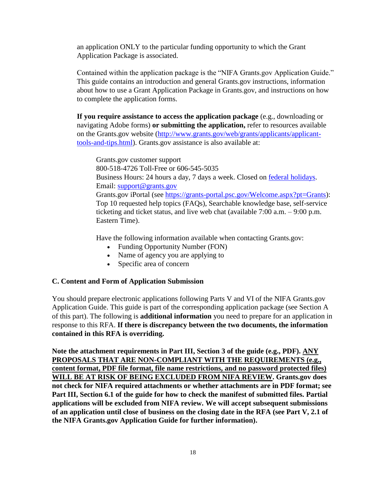an application ONLY to the particular funding opportunity to which the Grant Application Package is associated.

Contained within the application package is the "NIFA Grants.gov Application Guide." This guide contains an introduction and general Grants.gov instructions, information about how to use a Grant Application Package in Grants.gov, and instructions on how to complete the application forms.

**If you require assistance to access the application package** (e.g., downloading or navigating Adobe forms) **or submitting the application,** refer to resources available on the Grants.gov website [\(http://www.grants.gov/web/grants/applicants/applicant](http://www.grants.gov/web/grants/applicants/applicant-tools-and-tips.html)[tools-and-tips.html\)](http://www.grants.gov/web/grants/applicants/applicant-tools-and-tips.html). Grants.gov assistance is also available at:

Grants.gov customer support 800-518-4726 Toll-Free or 606-545-5035 Business Hours: 24 hours a day, 7 days a week. Closed on [federal holidays.](http://www.opm.gov/policy-data-oversight/snow-dismissal-procedures/federal-holidays/) Email: [support@grants.gov](mailto:support@grants.gov) Grants.gov iPortal (see [https://grants-portal.psc.gov/Welcome.aspx?pt=Grants\)](https://grants-portal.psc.gov/Welcome.aspx?pt=Grants): Top 10 requested help topics (FAQs), Searchable knowledge base, self-service ticketing and ticket status, and live web chat (available 7:00 a.m. – 9:00 p.m. Eastern Time).

Have the following information available when contacting Grants.gov:

- Funding Opportunity Number (FON)
- Name of agency you are applying to
- Specific area of concern

#### <span id="page-18-0"></span>**C. Content and Form of Application Submission**

You should prepare electronic applications following Parts V and VI of the NIFA Grants.gov Application Guide. This guide is part of the corresponding application package (see Section A of this part). The following is **additional information** you need to prepare for an application in response to this RFA. **If there is discrepancy between the two documents, the information contained in this RFA is overriding.**

**Note the attachment requirements in Part III, Section 3 of the guide (e.g., PDF). ANY PROPOSALS THAT ARE NON-COMPLIANT WITH THE REQUIREMENTS (e.g., content format, PDF file format, file name restrictions, and no password protected files) WILL BE AT RISK OF BEING EXCLUDED FROM NIFA REVIEW. Grants.gov does not check for NIFA required attachments or whether attachments are in PDF format; see Part III, Section 6.1 of the guide for how to check the manifest of submitted files. Partial applications will be excluded from NIFA review. We will accept subsequent submissions of an application until close of business on the closing date in the RFA (see Part V, 2.1 of the NIFA Grants.gov Application Guide for further information).**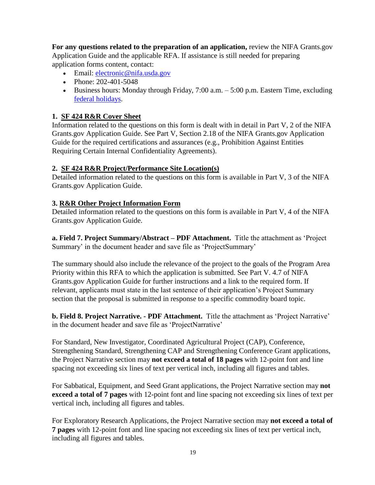**For any questions related to the preparation of an application,** review the NIFA Grants.gov Application Guide and the applicable RFA. If assistance is still needed for preparing application forms content, contact:

- Email: [electronic@nifa.usda.gov](mailto:electronic@nifa.usda.gov)
- Phone: 202-401-5048
- Business hours: Monday through Friday, 7:00 a.m. 5:00 p.m. Eastern Time, excluding [federal holidays.](https://www.opm.gov/policy-data-oversight/snow-dismissal-procedures/federal-holidays/)

#### **1. SF 424 R&R Cover Sheet**

Information related to the questions on this form is dealt with in detail in Part V, 2 of the NIFA Grants.gov Application Guide. See Part V, Section 2.18 of the NIFA Grants.gov Application Guide for the required certifications and assurances (e.g., Prohibition Against Entities Requiring Certain Internal Confidentiality Agreements).

#### **2. SF 424 R&R Project/Performance Site Location(s)**

Detailed information related to the questions on this form is available in Part V, 3 of the NIFA Grants.gov Application Guide.

#### **3. R&R Other Project Information Form**

Detailed information related to the questions on this form is available in Part V, 4 of the NIFA Grants.gov Application Guide.

**a. Field 7. Project Summary/Abstract – PDF Attachment.** Title the attachment as 'Project Summary' in the document header and save file as 'ProjectSummary'

The summary should also include the relevance of the project to the goals of the Program Area Priority within this RFA to which the application is submitted. See Part V. 4.7 of NIFA Grants.gov Application Guide for further instructions and a link to the required form. If relevant, applicants must state in the last sentence of their application's Project Summary section that the proposal is submitted in response to a specific commodity board topic.

**b. Field 8. Project Narrative. - PDF Attachment.** Title the attachment as 'Project Narrative' in the document header and save file as 'ProjectNarrative'

For Standard, New Investigator, Coordinated Agricultural Project (CAP), Conference, Strengthening Standard, Strengthening CAP and Strengthening Conference Grant applications, the Project Narrative section may **not exceed a total of 18 pages** with 12-point font and line spacing not exceeding six lines of text per vertical inch, including all figures and tables.

For Sabbatical, Equipment, and Seed Grant applications, the Project Narrative section may **not exceed a total of 7 pages** with 12-point font and line spacing not exceeding six lines of text per vertical inch, including all figures and tables.

For Exploratory Research Applications, the Project Narrative section may **not exceed a total of 7 pages** with 12-point font and line spacing not exceeding six lines of text per vertical inch, including all figures and tables.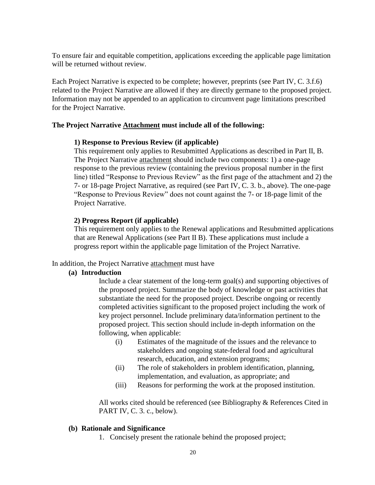To ensure fair and equitable competition, applications exceeding the applicable page limitation will be returned without review.

Each Project Narrative is expected to be complete; however, preprints (see Part IV, C. 3.f.6) related to the Project Narrative are allowed if they are directly germane to the proposed project. Information may not be appended to an application to circumvent page limitations prescribed for the Project Narrative.

#### **The Project Narrative Attachment must include all of the following:**

#### **1) Response to Previous Review (if applicable)**

This requirement only applies to Resubmitted Applications as described in Part II, B. The Project Narrative attachment should include two components: 1) a one-page response to the previous review (containing the previous proposal number in the first line) titled "Response to Previous Review" as the first page of the attachment and 2) the 7- or 18-page Project Narrative, as required (see Part IV, C. 3. b., above). The one-page "Response to Previous Review" does not count against the 7- or 18-page limit of the Project Narrative.

#### **2) Progress Report (if applicable)**

This requirement only applies to the Renewal applications and Resubmitted applications that are Renewal Applications (see Part II B). These applications must include a progress report within the applicable page limitation of the Project Narrative.

#### In addition, the Project Narrative attachment must have

#### **(a) Introduction**

Include a clear statement of the long-term goal(s) and supporting objectives of the proposed project. Summarize the body of knowledge or past activities that substantiate the need for the proposed project. Describe ongoing or recently completed activities significant to the proposed project including the work of key project personnel. Include preliminary data/information pertinent to the proposed project. This section should include in-depth information on the following, when applicable:

- (i) Estimates of the magnitude of the issues and the relevance to stakeholders and ongoing state-federal food and agricultural research, education, and extension programs;
- (ii) The role of stakeholders in problem identification, planning, implementation, and evaluation, as appropriate; and
- (iii) Reasons for performing the work at the proposed institution.

All works cited should be referenced (see Bibliography & References Cited in PART IV, C. 3. c., below).

#### **(b) Rationale and Significance**

1. Concisely present the rationale behind the proposed project;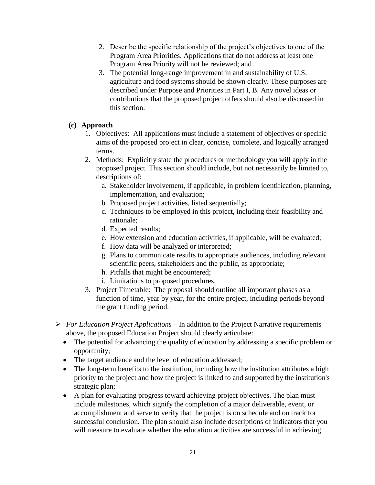- 2. Describe the specific relationship of the project's objectives to one of the Program Area Priorities. Applications that do not address at least one Program Area Priority will not be reviewed; and
- 3. The potential long-range improvement in and sustainability of U.S. agriculture and food systems should be shown clearly. These purposes are described under Purpose and Priorities in Part I, B. Any novel ideas or contributions that the proposed project offers should also be discussed in this section.

#### **(c) Approach**

- 1. Objectives: All applications must include a statement of objectives or specific aims of the proposed project in clear, concise, complete, and logically arranged terms.
- 2. Methods: Explicitly state the procedures or methodology you will apply in the proposed project. This section should include, but not necessarily be limited to, descriptions of:
	- a. Stakeholder involvement, if applicable, in problem identification, planning, implementation, and evaluation;
	- b. Proposed project activities, listed sequentially;
	- c. Techniques to be employed in this project, including their feasibility and rationale;
	- d. Expected results;
	- e. How extension and education activities, if applicable, will be evaluated;
	- f. How data will be analyzed or interpreted;
	- g. Plans to communicate results to appropriate audiences, including relevant scientific peers, stakeholders and the public, as appropriate;
	- h. Pitfalls that might be encountered;
	- i. Limitations to proposed procedures.
- 3. Project Timetable: The proposal should outline all important phases as a function of time, year by year, for the entire project, including periods beyond the grant funding period.
- *For Education Project Applications* In addition to the Project Narrative requirements above, the proposed Education Project should clearly articulate:
	- The potential for advancing the quality of education by addressing a specific problem or opportunity;
	- The target audience and the level of education addressed;
	- The long-term benefits to the institution, including how the institution attributes a high priority to the project and how the project is linked to and supported by the institution's strategic plan;
	- A plan for evaluating progress toward achieving project objectives. The plan must include milestones, which signify the completion of a major deliverable, event, or accomplishment and serve to verify that the project is on schedule and on track for successful conclusion. The plan should also include descriptions of indicators that you will measure to evaluate whether the education activities are successful in achieving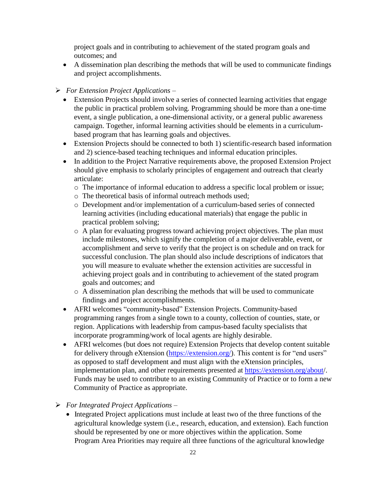project goals and in contributing to achievement of the stated program goals and outcomes; and

 A dissemination plan describing the methods that will be used to communicate findings and project accomplishments.

#### *For Extension Project Applications* –

- Extension Projects should involve a series of connected learning activities that engage the public in practical problem solving. Programming should be more than a one-time event, a single publication, a one-dimensional activity, or a general public awareness campaign. Together, informal learning activities should be elements in a curriculumbased program that has learning goals and objectives.
- Extension Projects should be connected to both 1) scientific-research based information and 2) science-based teaching techniques and informal education principles.
- In addition to the Project Narrative requirements above, the proposed Extension Project should give emphasis to scholarly principles of engagement and outreach that clearly articulate:
	- o The importance of informal education to address a specific local problem or issue;
	- o The theoretical basis of informal outreach methods used;
	- o Development and/or implementation of a curriculum-based series of connected learning activities (including educational materials) that engage the public in practical problem solving;
	- o A plan for evaluating progress toward achieving project objectives. The plan must include milestones, which signify the completion of a major deliverable, event, or accomplishment and serve to verify that the project is on schedule and on track for successful conclusion. The plan should also include descriptions of indicators that you will measure to evaluate whether the extension activities are successful in achieving project goals and in contributing to achievement of the stated program goals and outcomes; and
	- o A dissemination plan describing the methods that will be used to communicate findings and project accomplishments.
- AFRI welcomes "community-based" Extension Projects. Community-based programming ranges from a single town to a county, collection of counties, state, or region. Applications with leadership from campus-based faculty specialists that incorporate programming/work of local agents are highly desirable.
- AFRI welcomes (but does not require) Extension Projects that develop content suitable for delivery through eXtension [\(https://extension.org/\)](https://extension.org/). This content is for "end users" as opposed to staff development and must align with the eXtension principles, implementation plan, and other requirements presented at<https://extension.org/about/>. Funds may be used to contribute to an existing Community of Practice or to form a new Community of Practice as appropriate.
- *For Integrated Project Applications*
	- Integrated Project applications must include at least two of the three functions of the agricultural knowledge system (i.e., research, education, and extension). Each function should be represented by one or more objectives within the application. Some Program Area Priorities may require all three functions of the agricultural knowledge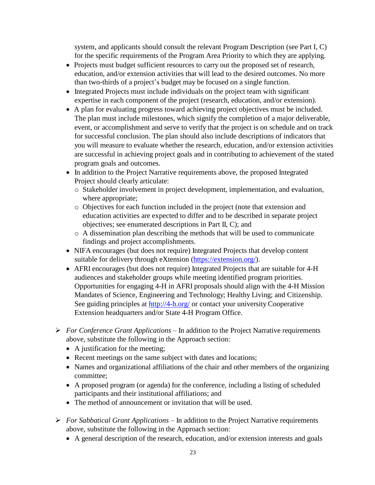system, and applicants should consult the relevant Program Description (see Part I, C) for the specific requirements of the Program Area Priority to which they are applying.

- Projects must budget sufficient resources to carry out the proposed set of research, education, and/or extension activities that will lead to the desired outcomes. No more than two-thirds of a project's budget may be focused on a single function.
- Integrated Projects must include individuals on the project team with significant expertise in each component of the project (research, education, and/or extension).
- A plan for evaluating progress toward achieving project objectives must be included. The plan must include milestones, which signify the completion of a major deliverable, event, or accomplishment and serve to verify that the project is on schedule and on track for successful conclusion. The plan should also include descriptions of indicators that you will measure to evaluate whether the research, education, and/or extension activities are successful in achieving project goals and in contributing to achievement of the stated program goals and outcomes.
- In addition to the Project Narrative requirements above, the proposed Integrated Project should clearly articulate:
	- o Stakeholder involvement in project development, implementation, and evaluation, where appropriate;
	- o Objectives for each function included in the project (note that extension and education activities are expected to differ and to be described in separate project objectives; see enumerated descriptions in Part II, C); and
	- o A dissemination plan describing the methods that will be used to communicate findings and project accomplishments.
- NIFA encourages (but does not require) Integrated Projects that develop content suitable for delivery through eXtension [\(https://extension.org/\)](https://extension.org/).
- AFRI encourages (but does not require) Integrated Projects that are suitable for 4-H audiences and stakeholder groups while meeting identified program priorities. Opportunities for engaging 4-H in AFRI proposals should align with the 4-H Mission Mandates of Science, Engineering and Technology; Healthy Living; and Citizenship. See guiding principles at <http://4-h.org/> or contact your university Cooperative Extension headquarters and/or State 4-H Program Office.
- *For Conference Grant Applications* In addition to the Project Narrative requirements above, substitute the following in the Approach section:
	- A justification for the meeting;
	- Recent meetings on the same subject with dates and locations;
	- Names and organizational affiliations of the chair and other members of the organizing committee;
	- A proposed program (or agenda) for the conference, including a listing of scheduled participants and their institutional affiliations; and
	- The method of announcement or invitation that will be used.
- *For Sabbatical Grant Applications* In addition to the Project Narrative requirements above, substitute the following in the Approach section:
	- A general description of the research, education, and/or extension interests and goals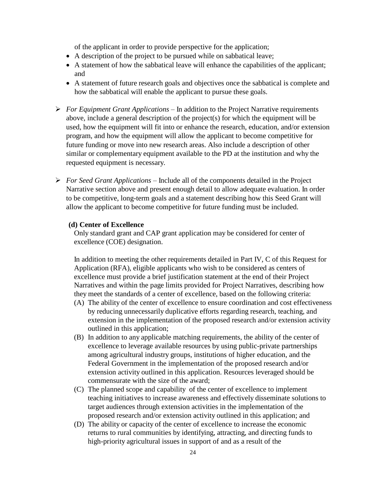of the applicant in order to provide perspective for the application;

- A description of the project to be pursued while on sabbatical leave;
- A statement of how the sabbatical leave will enhance the capabilities of the applicant; and
- A statement of future research goals and objectives once the sabbatical is complete and how the sabbatical will enable the applicant to pursue these goals.
- *For Equipment Grant Applications*  In addition to the Project Narrative requirements above, include a general description of the project(s) for which the equipment will be used, how the equipment will fit into or enhance the research, education, and/or extension program, and how the equipment will allow the applicant to become competitive for future funding or move into new research areas. Also include a description of other similar or complementary equipment available to the PD at the institution and why the requested equipment is necessary.
- *For Seed Grant Applications* Include all of the components detailed in the Project Narrative section above and present enough detail to allow adequate evaluation. In order to be competitive, long-term goals and a statement describing how this Seed Grant will allow the applicant to become competitive for future funding must be included.

#### **(d) Center of Excellence**

Only standard grant and CAP grant application may be considered for center of excellence (COE) designation.

In addition to meeting the other requirements detailed in Part IV, C of this Request for Application (RFA), eligible applicants who wish to be considered as centers of excellence must provide a brief justification statement at the end of their Project Narratives and within the page limits provided for Project Narratives, describing how they meet the standards of a center of excellence, based on the following criteria:

- (A) The ability of the center of excellence to ensure coordination and cost effectiveness by reducing unnecessarily duplicative efforts regarding research, teaching, and extension in the implementation of the proposed research and/or extension activity outlined in this application;
- (B) In addition to any applicable matching requirements, the ability of the center of excellence to leverage available resources by using public-private partnerships among agricultural industry groups, institutions of higher education, and the Federal Government in the implementation of the proposed research and/or extension activity outlined in this application. Resources leveraged should be commensurate with the size of the award;
- (C) The planned scope and capability of the center of excellence to implement teaching initiatives to increase awareness and effectively disseminate solutions to target audiences through extension activities in the implementation of the proposed research and/or extension activity outlined in this application; and
- (D) The ability or capacity of the center of excellence to increase the economic returns to rural communities by identifying, attracting, and directing funds to high-priority agricultural issues in support of and as a result of the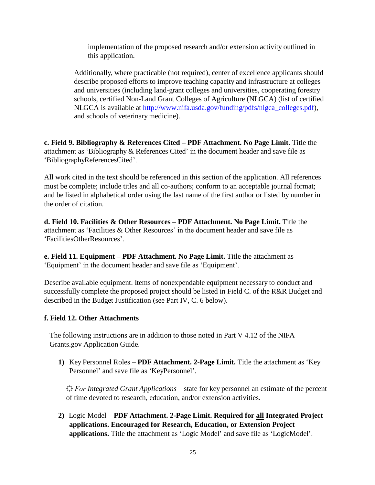implementation of the proposed research and/or extension activity outlined in this application.

Additionally, where practicable (not required), center of excellence applicants should describe proposed efforts to improve teaching capacity and infrastructure at colleges and universities (including land-grant colleges and universities, cooperating forestry schools, certified Non-Land Grant Colleges of Agriculture (NLGCA) (list of certified NLGCA is available at [http://www.nifa.usda.gov/funding/pdfs/nlgca\\_colleges.pdf\)](http://www.nifa.usda.gov/funding/pdfs/nlgca_colleges.pdf), and schools of veterinary medicine).

**c. Field 9. Bibliography & References Cited – PDF Attachment. No Page Limit**. Title the attachment as 'Bibliography & References Cited' in the document header and save file as 'BibliographyReferencesCited'.

All work cited in the text should be referenced in this section of the application. All references must be complete; include titles and all co-authors; conform to an acceptable journal format; and be listed in alphabetical order using the last name of the first author or listed by number in the order of citation.

**d. Field 10. Facilities & Other Resources – PDF Attachment. No Page Limit.** Title the attachment as 'Facilities & Other Resources' in the document header and save file as 'FacilitiesOtherResources'.

**e. Field 11. Equipment – PDF Attachment. No Page Limit.** Title the attachment as 'Equipment' in the document header and save file as 'Equipment'.

Describe available equipment. Items of nonexpendable equipment necessary to conduct and successfully complete the proposed project should be listed in Field C. of the R&R Budget and described in the Budget Justification (see Part IV, C. 6 below).

#### **f. Field 12. Other Attachments**

The following instructions are in addition to those noted in Part V 4.12 of the NIFA Grants.gov Application Guide.

**1)** Key Personnel Roles – **PDF Attachment. 2-Page Limit.** Title the attachment as 'Key Personnel' and save file as 'KeyPersonnel'.

*☼ For Integrated Grant Applications –* state for key personnel an estimate of the percent of time devoted to research, education, and/or extension activities.

**2)** Logic Model – **PDF Attachment. 2-Page Limit. Required for all Integrated Project applications. Encouraged for Research, Education, or Extension Project applications.** Title the attachment as 'Logic Model' and save file as 'LogicModel'.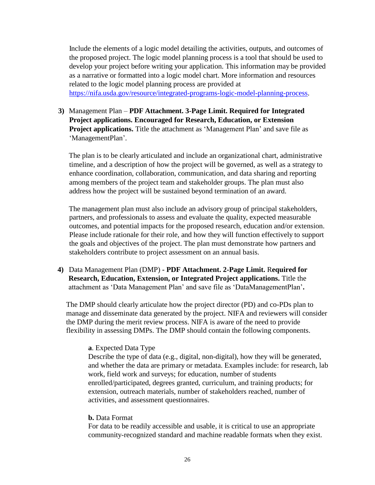Include the elements of a logic model detailing the activities, outputs, and outcomes of the proposed project. The logic model planning process is a tool that should be used to develop your project before writing your application. This information may be provided as a narrative or formatted into a logic model chart. More information and resources related to the logic model planning process are provided at [https://nifa.usda.gov/resource/integrated-programs-logic-model-planning-process.](https://nifa.usda.gov/resource/integrated-programs-logic-model-planning-process)

**3)** Management Plan – **PDF Attachment. 3-Page Limit. Required for Integrated Project applications. Encouraged for Research, Education, or Extension Project applications.** Title the attachment as 'Management Plan' and save file as 'ManagementPlan'.

The plan is to be clearly articulated and include an organizational chart, administrative timeline, and a description of how the project will be governed, as well as a strategy to enhance coordination, collaboration, communication, and data sharing and reporting among members of the project team and stakeholder groups. The plan must also address how the project will be sustained beyond termination of an award.

The management plan must also include an advisory group of principal stakeholders, partners, and professionals to assess and evaluate the quality, expected measurable outcomes, and potential impacts for the proposed research, education and/or extension. Please include rationale for their role, and how they will function effectively to support the goals and objectives of the project. The plan must demonstrate how partners and stakeholders contribute to project assessment on an annual basis.

**4)** Data Management Plan (DMP) **- PDF Attachment. 2-Page Limit.** R**equired for Research, Education, Extension, or Integrated Project applications.** Title the attachment as 'Data Management Plan' and save file as 'DataManagementPlan'**.**

The DMP should clearly articulate how the project director (PD) and co-PDs plan to manage and disseminate data generated by the project. NIFA and reviewers will consider the DMP during the merit review process. NIFA is aware of the need to provide flexibility in assessing DMPs. The DMP should contain the following components.

#### **a**. Expected Data Type

Describe the type of data (e.g., digital, non-digital), how they will be generated, and whether the data are primary or metadata. Examples include: for research, lab work, field work and surveys; for education, number of students enrolled/participated, degrees granted, curriculum, and training products; for extension, outreach materials, number of stakeholders reached, number of activities, and assessment questionnaires.

#### **b.** Data Format

For data to be readily accessible and usable, it is critical to use an appropriate community-recognized standard and machine readable formats when they exist.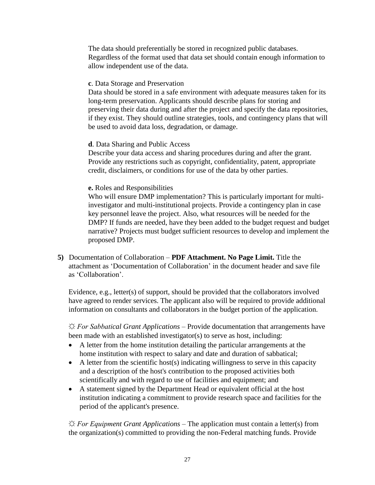The data should preferentially be stored in recognized public databases. Regardless of the format used that data set should contain enough information to allow independent use of the data.

#### **c**. Data Storage and Preservation

Data should be stored in a safe environment with adequate measures taken for its long-term preservation. Applicants should describe plans for storing and preserving their data during and after the project and specify the data repositories, if they exist. They should outline strategies, tools, and contingency plans that will be used to avoid data loss, degradation, or damage.

#### **d**. Data Sharing and Public Access

Describe your data access and sharing procedures during and after the grant. Provide any restrictions such as copyright, confidentiality, patent, appropriate credit, disclaimers, or conditions for use of the data by other parties.

#### **e.** Roles and Responsibilities

Who will ensure DMP implementation? This is particularly important for multiinvestigator and multi-institutional projects. Provide a contingency plan in case key personnel leave the project. Also, what resources will be needed for the DMP? If funds are needed, have they been added to the budget request and budget narrative? Projects must budget sufficient resources to develop and implement the proposed DMP.

**5)** Documentation of Collaboration – **PDF Attachment. No Page Limit.** Title the attachment as 'Documentation of Collaboration' in the document header and save file as 'Collaboration'.

Evidence, e.g., letter(s) of support, should be provided that the collaborators involved have agreed to render services. The applicant also will be required to provide additional information on consultants and collaborators in the budget portion of the application.

*☼ For Sabbatical Grant Applications –* Provide documentation that arrangements have been made with an established investigator(s) to serve as host, including:

- A letter from the home institution detailing the particular arrangements at the home institution with respect to salary and date and duration of sabbatical;
- $\bullet$  A letter from the scientific host(s) indicating willingness to serve in this capacity and a description of the host's contribution to the proposed activities both scientifically and with regard to use of facilities and equipment; and
- A statement signed by the Department Head or equivalent official at the host institution indicating a commitment to provide research space and facilities for the period of the applicant's presence.

*☼ For Equipment Grant Applications –* The application must contain a letter(s) from the organization(s) committed to providing the non-Federal matching funds. Provide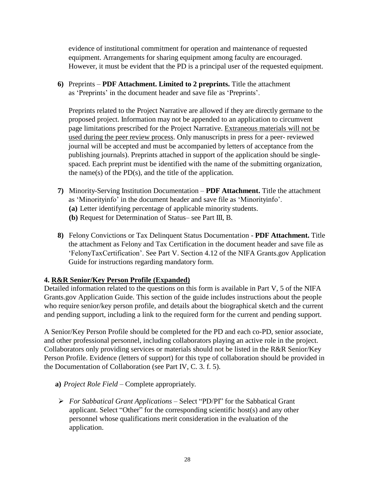evidence of institutional commitment for operation and maintenance of requested equipment. Arrangements for sharing equipment among faculty are encouraged. However, it must be evident that the PD is a principal user of the requested equipment.

**6)** Preprints – **PDF Attachment. Limited to 2 preprints.** Title the attachment as 'Preprints' in the document header and save file as 'Preprints'.

Preprints related to the Project Narrative are allowed if they are directly germane to the proposed project. Information may not be appended to an application to circumvent page limitations prescribed for the Project Narrative. Extraneous materials will not be used during the peer review process. Only manuscripts in press for a peer- reviewed journal will be accepted and must be accompanied by letters of acceptance from the publishing journals). Preprints attached in support of the application should be singlespaced. Each preprint must be identified with the name of the submitting organization, the name(s) of the  $PD(s)$ , and the title of the application.

- **7)** Minority-Serving Institution Documentation **PDF Attachment.** Title the attachment as 'Minorityinfo' in the document header and save file as 'Minorityinfo'.
	- **(a)** Letter identifying percentage of applicable minority students.
	- **(b)** Request for Determination of Status– see Part III, B.
- **8)** Felony Convictions or Tax Delinquent Status Documentation **PDF Attachment.** Title the attachment as Felony and Tax Certification in the document header and save file as 'FelonyTaxCertification'. See Part V. Section 4.12 of the NIFA Grants.gov Application Guide for instructions regarding mandatory form.

## **4. R&R Senior/Key Person Profile (Expanded)**

Detailed information related to the questions on this form is available in Part V, 5 of the NIFA Grants.gov Application Guide. This section of the guide includes instructions about the people who require senior/key person profile, and details about the biographical sketch and the current and pending support, including a link to the required form for the current and pending support.

A Senior/Key Person Profile should be completed for the PD and each co-PD, senior associate, and other professional personnel, including collaborators playing an active role in the project. Collaborators only providing services or materials should not be listed in the R&R Senior/Key Person Profile. Evidence (letters of support) for this type of collaboration should be provided in the Documentation of Collaboration (see Part IV, C. 3. f. 5).

- **a)** *Project Role Field*  Complete appropriately.
- *For Sabbatical Grant Applications –* Select "PD/PI" for the Sabbatical Grant applicant. Select "Other" for the corresponding scientific host(s) and any other personnel whose qualifications merit consideration in the evaluation of the application.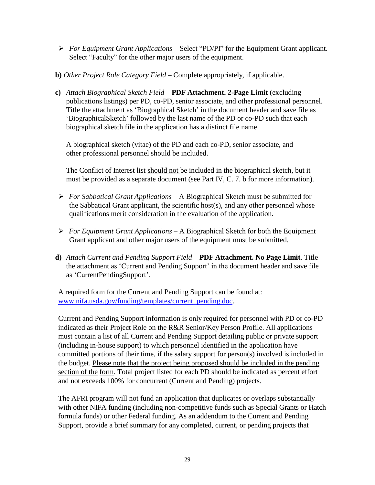- *For Equipment Grant Applications –* Select "PD/PI" for the Equipment Grant applicant. Select "Faculty" for the other major users of the equipment.
- **b)** *Other Project Role Category Field* Complete appropriately, if applicable.
- **c)** *Attach Biographical Sketch Field*  **PDF Attachment. 2-Page Limit** (excluding publications listings) per PD, co-PD, senior associate, and other professional personnel. Title the attachment as 'Biographical Sketch' in the document header and save file as 'BiographicalSketch' followed by the last name of the PD or co-PD such that each biographical sketch file in the application has a distinct file name.

A biographical sketch (vitae) of the PD and each co-PD, senior associate, and other professional personnel should be included.

The Conflict of Interest list should not be included in the biographical sketch, but it must be provided as a separate document (see Part IV, C. 7. b for more information).

- *For Sabbatical Grant Applications –* A Biographical Sketch must be submitted for the Sabbatical Grant applicant, the scientific host(s), and any other personnel whose qualifications merit consideration in the evaluation of the application.
- *For Equipment Grant Applications* A Biographical Sketch for both the Equipment Grant applicant and other major users of the equipment must be submitted.
- **d)** *Attach Current and Pending Support Field* **PDF Attachment. No Page Limit**. Title the attachment as 'Current and Pending Support' in the document header and save file as 'CurrentPendingSupport'.

A required form for the Current and Pending Support can be found at: [www.nifa.usda.gov/funding/templates/current\\_pending.doc.](http://www.nifa.usda.gov/funding/templates/current_pending.doc)

Current and Pending Support information is only required for personnel with PD or co-PD indicated as their Project Role on the R&R Senior/Key Person Profile. All applications must contain a list of all Current and Pending Support detailing public or private support (including in-house support) to which personnel identified in the application have committed portions of their time, if the salary support for person(s) involved is included in the budget. Please note that the project being proposed should be included in the pending section of the form. Total project listed for each PD should be indicated as percent effort and not exceeds 100% for concurrent (Current and Pending) projects.

The AFRI program will not fund an application that duplicates or overlaps substantially with other NIFA funding (including non-competitive funds such as Special Grants or Hatch formula funds) or other Federal funding. As an addendum to the Current and Pending Support, provide a brief summary for any completed, current, or pending projects that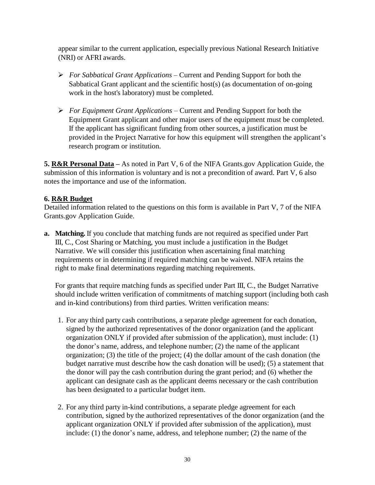appear similar to the current application, especially previous National Research Initiative (NRI) or AFRI awards.

- *For Sabbatical Grant Applications –* Current and Pending Support for both the Sabbatical Grant applicant and the scientific host(s) (as documentation of on-going work in the host's laboratory) must be completed.
- *For Equipment Grant Applications* Current and Pending Support for both the Equipment Grant applicant and other major users of the equipment must be completed. If the applicant has significant funding from other sources, a justification must be provided in the Project Narrative for how this equipment will strengthen the applicant's research program or institution.

**5. R&R Personal Data –** As noted in Part V, 6 of the NIFA Grants.gov Application Guide, the submission of this information is voluntary and is not a precondition of award. Part V, 6 also notes the importance and use of the information.

# **6. R&R Budget**

Detailed information related to the questions on this form is available in Part V, 7 of the NIFA Grants.gov Application Guide.

**a. Matching.** If you conclude that matching funds are not required as specified under Part III, C., Cost Sharing or Matching, you must include a justification in the Budget Narrative. We will consider this justification when ascertaining final matching requirements or in determining if required matching can be waived. NIFA retains the right to make final determinations regarding matching requirements.

For grants that require matching funds as specified under Part III, C., the Budget Narrative should include written verification of commitments of matching support (including both cash and in-kind contributions) from third parties. Written verification means:

- 1. For any third party cash contributions, a separate pledge agreement for each donation, signed by the authorized representatives of the donor organization (and the applicant organization ONLY if provided after submission of the application), must include: (1) the donor's name, address, and telephone number; (2) the name of the applicant organization; (3) the title of the project; (4) the dollar amount of the cash donation (the budget narrative must describe how the cash donation will be used); (5) a statement that the donor will pay the cash contribution during the grant period; and (6) whether the applicant can designate cash as the applicant deems necessary or the cash contribution has been designated to a particular budget item.
- 2. For any third party in-kind contributions, a separate pledge agreement for each contribution, signed by the authorized representatives of the donor organization (and the applicant organization ONLY if provided after submission of the application), must include: (1) the donor's name, address, and telephone number; (2) the name of the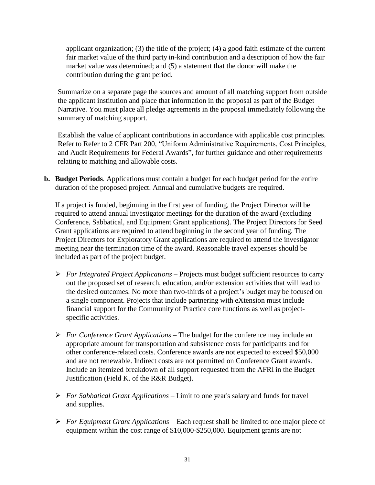applicant organization; (3) the title of the project; (4) a good faith estimate of the current fair market value of the third party in-kind contribution and a description of how the fair market value was determined; and (5) a statement that the donor will make the contribution during the grant period.

Summarize on a separate page the sources and amount of all matching support from outside the applicant institution and place that information in the proposal as part of the Budget Narrative. You must place all pledge agreements in the proposal immediately following the summary of matching support.

Establish the value of applicant contributions in accordance with applicable cost principles. Refer to Refer to 2 CFR Part 200, "Uniform Administrative Requirements, Cost Principles, and Audit Requirements for Federal Awards", for further guidance and other requirements relating to matching and allowable costs.

**b. Budget Periods**. Applications must contain a budget for each budget period for the entire duration of the proposed project. Annual and cumulative budgets are required.

If a project is funded, beginning in the first year of funding, the Project Director will be required to attend annual investigator meetings for the duration of the award (excluding Conference, Sabbatical, and Equipment Grant applications). The Project Directors for Seed Grant applications are required to attend beginning in the second year of funding. The Project Directors for Exploratory Grant applications are required to attend the investigator meeting near the termination time of the award. Reasonable travel expenses should be included as part of the project budget.

- *For Integrated Project Applications –* Projects must budget sufficient resources to carry out the proposed set of research, education, and/or extension activities that will lead to the desired outcomes. No more than two-thirds of a project's budget may be focused on a single component. Projects that include partnering with eXtension must include financial support for the Community of Practice core functions as well as projectspecific activities.
- *For Conference Grant Applications –* The budget for the conference may include an appropriate amount for transportation and subsistence costs for participants and for other conference-related costs. Conference awards are not expected to exceed \$50,000 and are not renewable. Indirect costs are not permitted on Conference Grant awards. Include an itemized breakdown of all support requested from the AFRI in the Budget Justification (Field K. of the R&R Budget).
- *For Sabbatical Grant Applications –* Limit to one year's salary and funds for travel and supplies.
- *For Equipment Grant Applications* Each request shall be limited to one major piece of equipment within the cost range of \$10,000-\$250,000. Equipment grants are not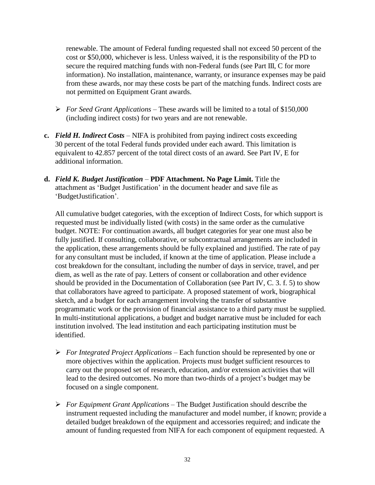renewable. The amount of Federal funding requested shall not exceed 50 percent of the cost or \$50,000, whichever is less. Unless waived, it is the responsibility of the PD to secure the required matching funds with non-Federal funds (see Part III, C for more information). No installation, maintenance, warranty, or insurance expenses may be paid from these awards, nor may these costs be part of the matching funds. Indirect costs are not permitted on Equipment Grant awards.

- *For Seed Grant Applications* These awards will be limited to a total of \$150,000 (including indirect costs) for two years and are not renewable.
- **c.** *Field H. Indirect Costs* NIFA is prohibited from paying indirect costs exceeding 30 percent of the total Federal funds provided under each award. This limitation is equivalent to 42.857 percent of the total direct costs of an award. See Part IV, E for additional information.
- **d.** *Field K. Budget Justification* **PDF Attachment. No Page Limit.** Title the attachment as 'Budget Justification' in the document header and save file as 'BudgetJustification'.

All cumulative budget categories, with the exception of Indirect Costs, for which support is requested must be individually listed (with costs) in the same order as the cumulative budget. NOTE: For continuation awards, all budget categories for year one must also be fully justified. If consulting, collaborative, or subcontractual arrangements are included in the application, these arrangements should be fully explained and justified. The rate of pay for any consultant must be included, if known at the time of application. Please include a cost breakdown for the consultant, including the number of days in service, travel, and per diem, as well as the rate of pay. Letters of consent or collaboration and other evidence should be provided in the Documentation of Collaboration (see Part IV, C. 3. f. 5) to show that collaborators have agreed to participate. A proposed statement of work, biographical sketch, and a budget for each arrangement involving the transfer of substantive programmatic work or the provision of financial assistance to a third party must be supplied. In multi-institutional applications, a budget and budget narrative must be included for each institution involved. The lead institution and each participating institution must be identified.

- *For Integrated Project Applications –* Each function should be represented by one or more objectives within the application. Projects must budget sufficient resources to carry out the proposed set of research, education, and/or extension activities that will lead to the desired outcomes. No more than two-thirds of a project's budget may be focused on a single component.
- *For Equipment Grant Applications* The Budget Justification should describe the instrument requested including the manufacturer and model number, if known; provide a detailed budget breakdown of the equipment and accessories required; and indicate the amount of funding requested from NIFA for each component of equipment requested. A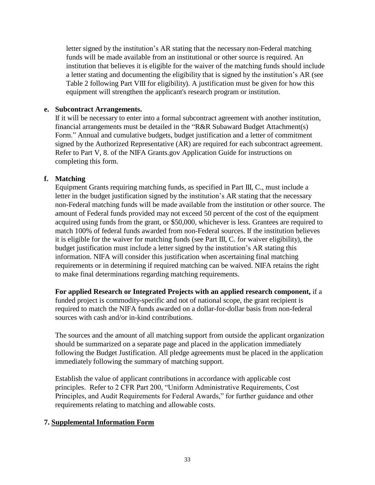letter signed by the institution's AR stating that the necessary non-Federal matching funds will be made available from an institutional or other source is required. An institution that believes it is eligible for the waiver of the matching funds should include a letter stating and documenting the eligibility that is signed by the institution's AR (see Table 2 following Part VIII for eligibility). A justification must be given for how this equipment will strengthen the applicant's research program or institution.

#### **e. Subcontract Arrangements.**

If it will be necessary to enter into a formal subcontract agreement with another institution, financial arrangements must be detailed in the "R&R Subaward Budget Attachment(s) Form." Annual and cumulative budgets, budget justification and a letter of commitment signed by the Authorized Representative (AR) are required for each subcontract agreement. Refer to Part V, 8. of the NIFA Grants.gov Application Guide for instructions on completing this form.

#### **f. Matching**

Equipment Grants requiring matching funds, as specified in Part III, C., must include a letter in the budget justification signed by the institution's AR stating that the necessary non-Federal matching funds will be made available from the institution or other source. The amount of Federal funds provided may not exceed 50 percent of the cost of the equipment acquired using funds from the grant, or \$50,000, whichever is less. Grantees are required to match 100% of federal funds awarded from non-Federal sources. If the institution believes it is eligible for the waiver for matching funds (see Part III, C. for waiver eligibility), the budget justification must include a letter signed by the institution's AR stating this information. NIFA will consider this justification when ascertaining final matching requirements or in determining if required matching can be waived. NIFA retains the right to make final determinations regarding matching requirements.

**For applied Research or Integrated Projects with an applied research component,** if a funded project is commodity-specific and not of national scope, the grant recipient is required to match the NIFA funds awarded on a dollar-for-dollar basis from non-federal sources with cash and/or in-kind contributions.

The sources and the amount of all matching support from outside the applicant organization should be summarized on a separate page and placed in the application immediately following the Budget Justification. All pledge agreements must be placed in the application immediately following the summary of matching support.

Establish the value of applicant contributions in accordance with applicable cost principles. Refer to 2 CFR Part 200, "Uniform Administrative Requirements, Cost Principles, and Audit Requirements for Federal Awards," for further guidance and other requirements relating to matching and allowable costs.

## **7. Supplemental Information Form**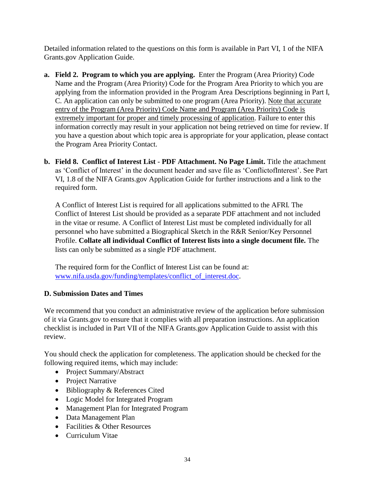Detailed information related to the questions on this form is available in Part VI, 1 of the NIFA Grants.gov Application Guide.

- **a. Field 2. Program to which you are applying.** Enter the Program (Area Priority) Code Name and the Program (Area Priority) Code for the Program Area Priority to which you are applying from the information provided in the Program Area Descriptions beginning in Part I, C. An application can only be submitted to one program (Area Priority). Note that accurate entry of the Program (Area Priority) Code Name and Program (Area Priority) Code is extremely important for proper and timely processing of application. Failure to enter this information correctly may result in your application not being retrieved on time for review. If you have a question about which topic area is appropriate for your application, please contact the Program Area Priority Contact.
- **b. Field 8. Conflict of Interest List PDF Attachment. No Page Limit.** Title the attachment as 'Conflict of Interest' in the document header and save file as 'ConflictofInterest'. See Part VI, 1.8 of the NIFA Grants.gov Application Guide for further instructions and a link to the required form.

A Conflict of Interest List is required for all applications submitted to the AFRI. The Conflict of Interest List should be provided as a separate PDF attachment and not included in the vitae or resume. A Conflict of Interest List must be completed individually for all personnel who have submitted a Biographical Sketch in the R&R Senior/Key Personnel Profile. **Collate all individual Conflict of Interest lists into a single document file.** The lists can only be submitted as a single PDF attachment.

The required form for the Conflict of Interest List can be found at: www.nifa.usda.gov/funding/templates/conflict of interest.doc.

# <span id="page-34-0"></span>**D. Submission Dates and Times**

We recommend that you conduct an administrative review of the application before submission of it via Grants.gov to ensure that it complies with all preparation instructions. An application checklist is included in Part VII of the NIFA Grants.gov Application Guide to assist with this review.

You should check the application for completeness. The application should be checked for the following required items, which may include:

- Project Summary/Abstract
- Project Narrative
- Bibliography & References Cited
- Logic Model for Integrated Program
- Management Plan for Integrated Program
- Data Management Plan
- Facilities & Other Resources
- Curriculum Vitae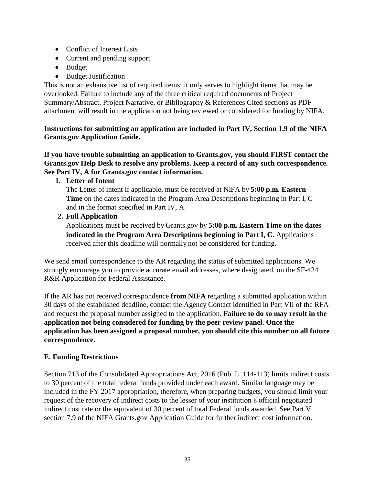- Conflict of Interest Lists
- Current and pending support
- Budget
- Budget Justification

This is not an exhaustive list of required items; it only serves to highlight items that may be overlooked. Failure to include any of the three critical required documents of Project Summary/Abstract, Project Narrative, or Bibliography & References Cited sections as PDF attachment will result in the application not being reviewed or considered for funding by NIFA.

**Instructions for submitting an application are included in Part IV, Section 1.9 of the NIFA Grants.gov Application Guide.** 

**If you have trouble submitting an application to Grants.gov, you should FIRST contact the Grants.gov Help Desk to resolve any problems. Keep a record of any such correspondence. See Part IV, A for Grants.gov contact information.**

**1. Letter of Intent**

The Letter of intent if applicable, must be received at NIFA by **5:00 p.m. Eastern Time** on the dates indicated in the Program Area Descriptions beginning in Part I, C and in the format specified in Part IV, A.

**2. Full Application**

Applications must be received by Grants.gov by **5:00 p.m. Eastern Time on the dates indicated in the Program Area Descriptions beginning in Part I, C**. Applications received after this deadline will normally not be considered for funding.

We send email correspondence to the AR regarding the status of submitted applications. We strongly encourage you to provide accurate email addresses, where designated, on the SF-424 R&R Application for Federal Assistance.

If the AR has not received correspondence **from NIFA** regarding a submitted application within 30 days of the established deadline, contact the Agency Contact identified in Part VII of the RFA and request the proposal number assigned to the application. **Failure to do so may result in the application not being considered for funding by the peer review panel. Once the application has been assigned a proposal number, you should cite this number on all future correspondence.**

# <span id="page-35-0"></span>**E. Funding Restrictions**

Section 713 of the Consolidated Appropriations Act, 2016 (Pub. L. 114-113) limits indirect costs to 30 percent of the total federal funds provided under each award. Similar language may be included in the FY 2017 appropriation, therefore, when preparing budgets, you should limit your request of the recovery of indirect costs to the lesser of your institution's official negotiated indirect cost rate or the equivalent of 30 percent of total Federal funds awarded. See Part V section 7.9 of the NIFA Grants.gov Application Guide for further indirect cost information.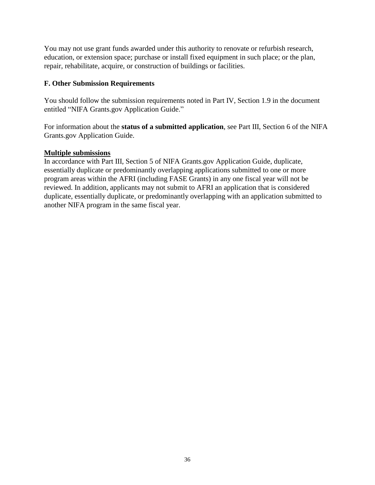You may not use grant funds awarded under this authority to renovate or refurbish research, education, or extension space; purchase or install fixed equipment in such place; or the plan, repair, rehabilitate, acquire, or construction of buildings or facilities.

## <span id="page-36-0"></span>**F. Other Submission Requirements**

You should follow the submission requirements noted in Part IV, Section 1.9 in the document entitled "NIFA Grants.gov Application Guide."

For information about the **status of a submitted application**, see Part III, Section 6 of the NIFA Grants.gov Application Guide.

## **Multiple submissions**

In accordance with Part III, Section 5 of NIFA Grants.gov Application Guide, duplicate, essentially duplicate or predominantly overlapping applications submitted to one or more program areas within the AFRI (including FASE Grants) in any one fiscal year will not be reviewed. In addition, applicants may not submit to AFRI an application that is considered duplicate, essentially duplicate, or predominantly overlapping with an application submitted to another NIFA program in the same fiscal year.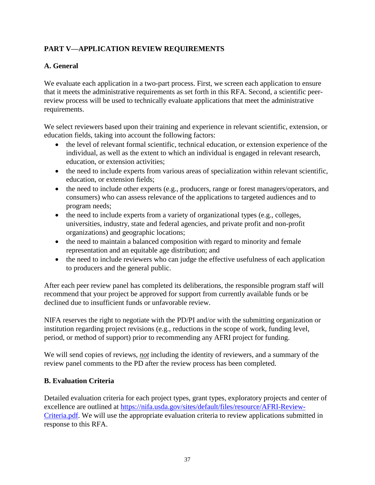# <span id="page-37-0"></span>**PART V—APPLICATION REVIEW REQUIREMENTS**

# <span id="page-37-1"></span>**A. General**

We evaluate each application in a two-part process. First, we screen each application to ensure that it meets the administrative requirements as set forth in this RFA. Second, a scientific peerreview process will be used to technically evaluate applications that meet the administrative requirements.

We select reviewers based upon their training and experience in relevant scientific, extension, or education fields, taking into account the following factors:

- the level of relevant formal scientific, technical education, or extension experience of the individual, as well as the extent to which an individual is engaged in relevant research, education, or extension activities;
- the need to include experts from various areas of specialization within relevant scientific, education, or extension fields;
- the need to include other experts (e.g., producers, range or forest managers/operators, and consumers) who can assess relevance of the applications to targeted audiences and to program needs;
- the need to include experts from a variety of organizational types (e.g., colleges, universities, industry, state and federal agencies, and private profit and non-profit organizations) and geographic locations;
- the need to maintain a balanced composition with regard to minority and female representation and an equitable age distribution; and
- the need to include reviewers who can judge the effective usefulness of each application to producers and the general public.

After each peer review panel has completed its deliberations, the responsible program staff will recommend that your project be approved for support from currently available funds or be declined due to insufficient funds or unfavorable review.

NIFA reserves the right to negotiate with the PD/PI and/or with the submitting organization or institution regarding project revisions (e.g., reductions in the scope of work, funding level, period, or method of support) prior to recommending any AFRI project for funding.

We will send copies of reviews, *not* including the identity of reviewers, and a summary of the review panel comments to the PD after the review process has been completed.

## <span id="page-37-2"></span>**B. Evaluation Criteria**

Detailed evaluation criteria for each project types, grant types, exploratory projects and center of excellence are outlined at [https://nifa.usda.gov/sites/default/files/resource/AFRI-Review-](https://nifa.usda.gov/sites/default/files/resource/AFRI-Review-Criteria.pdf)[Criteria.pdf.](https://nifa.usda.gov/sites/default/files/resource/AFRI-Review-Criteria.pdf) We will use the appropriate evaluation criteria to review applications submitted in response to this RFA.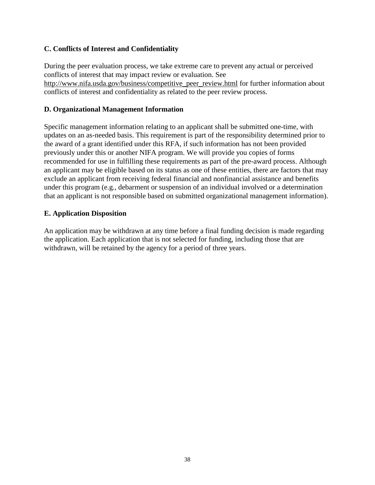## <span id="page-38-0"></span>**C. Conflicts of Interest and Confidentiality**

During the peer evaluation process, we take extreme care to prevent any actual or perceived conflicts of interest that may impact review or evaluation. See [http://www.nifa.usda.gov/business/competitive\\_peer\\_review.html](http://www.nifa.usda.gov/business/competitive_peer_review.html) for further information about conflicts of interest and confidentiality as related to the peer review process.

## <span id="page-38-1"></span>**D. Organizational Management Information**

Specific management information relating to an applicant shall be submitted one-time, with updates on an as-needed basis. This requirement is part of the responsibility determined prior to the award of a grant identified under this RFA, if such information has not been provided previously under this or another NIFA program. We will provide you copies of forms recommended for use in fulfilling these requirements as part of the pre-award process. Although an applicant may be eligible based on its status as one of these entities, there are factors that may exclude an applicant from receiving federal financial and nonfinancial assistance and benefits under this program (e.g., debarment or suspension of an individual involved or a determination that an applicant is not responsible based on submitted organizational management information).

# <span id="page-38-2"></span>**E. Application Disposition**

An application may be withdrawn at any time before a final funding decision is made regarding the application. Each application that is not selected for funding, including those that are withdrawn, will be retained by the agency for a period of three years.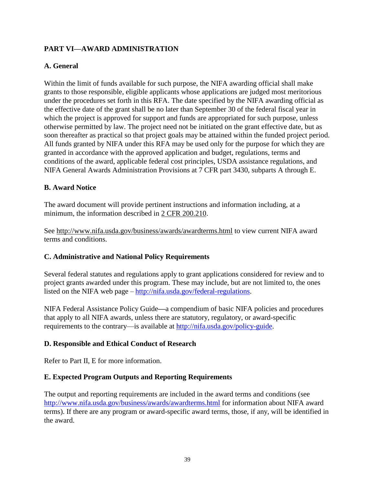# <span id="page-39-0"></span>**PART VI—AWARD ADMINISTRATION**

# <span id="page-39-1"></span>**A. General**

Within the limit of funds available for such purpose, the NIFA awarding official shall make grants to those responsible, eligible applicants whose applications are judged most meritorious under the procedures set forth in this RFA. The date specified by the NIFA awarding official as the effective date of the grant shall be no later than September 30 of the federal fiscal year in which the project is approved for support and funds are appropriated for such purpose, unless otherwise permitted by law. The project need not be initiated on the grant effective date, but as soon thereafter as practical so that project goals may be attained within the funded project period. All funds granted by NIFA under this RFA may be used only for the purpose for which they are granted in accordance with the approved application and budget, regulations, terms and conditions of the award, applicable federal cost principles, USDA assistance regulations, and NIFA General Awards Administration Provisions at 7 CFR part 3430, subparts A through E.

## <span id="page-39-2"></span>**B. Award Notice**

The award document will provide pertinent instructions and information including, at a minimum, the information described in [2 CFR 200.210.](http://www.ecfr.gov/cgi-bin/text-idx?SID=70b44cfc44976f4a7742464f7cfbb37e&mc=true&node=se2.1.200_1210&rgn=div8)

See<http://www.nifa.usda.gov/business/awards/awardterms.html> to view current NIFA award terms and conditions.

## <span id="page-39-3"></span>**C. Administrative and National Policy Requirements**

Several federal statutes and regulations apply to grant applications considered for review and to project grants awarded under this program. These may include, but are not limited to, the ones listed on the NIFA web page – [http://nifa.usda.gov/federal-regulations.](http://nifa.usda.gov/federal-regulations)

NIFA Federal Assistance Policy Guide**—**a compendium of basic NIFA policies and procedures that apply to all NIFA awards, unless there are statutory, regulatory, or award-specific requirements to the contrary—is available at [http://nifa.usda.gov/policy-guide.](http://nifa.usda.gov/policy-guide)

## <span id="page-39-4"></span>**D. Responsible and Ethical Conduct of Research**

Refer to Part II, E for more information.

## <span id="page-39-5"></span>**E. Expected Program Outputs and Reporting Requirements**

The output and reporting requirements are included in the award terms and conditions (see <http://www.nifa.usda.gov/business/awards/awardterms.html> for information about NIFA award terms). If there are any program or award-specific award terms, those, if any, will be identified in the award.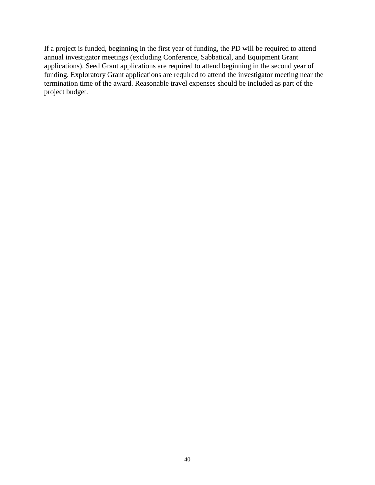If a project is funded, beginning in the first year of funding, the PD will be required to attend annual investigator meetings (excluding Conference, Sabbatical, and Equipment Grant applications). Seed Grant applications are required to attend beginning in the second year of funding. Exploratory Grant applications are required to attend the investigator meeting near the termination time of the award. Reasonable travel expenses should be included as part of the project budget.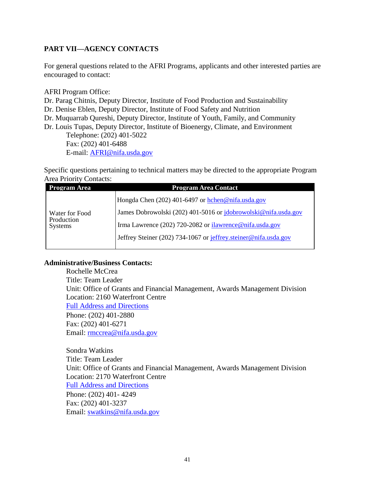# <span id="page-41-0"></span>**PART VII—AGENCY CONTACTS**

For general questions related to the AFRI Programs, applicants and other interested parties are encouraged to contact:

AFRI Program Office:

Dr. Parag Chitnis, Deputy Director, Institute of Food Production and Sustainability Dr. Denise Eblen, Deputy Director, Institute of Food Safety and Nutrition Dr. Muquarrab Qureshi, Deputy Director, Institute of Youth, Family, and Community Dr. Louis Tupas, Deputy Director, Institute of Bioenergy, Climate, and Environment Telephone: (202) 401-5022 Fax: (202) 401-6488

E-mail: [AFRI@nifa.usda.gov](mailto:AFRI@nifa.usda.gov)

Specific questions pertaining to technical matters may be directed to the appropriate Program Area Priority Contacts:

| Program Area                                   | <b>Program Area Contact</b>                                     |
|------------------------------------------------|-----------------------------------------------------------------|
| Water for Food<br>Production<br><b>Systems</b> | Hongda Chen (202) 401-6497 or hchen@nifa.usda.gov               |
|                                                | James Dobrowolski (202) 401-5016 or jdobrowolski@nifa.usda.gov  |
|                                                | Irma Lawrence (202) 720-2082 or ilawrence@nifa.usda.gov         |
|                                                | Jeffrey Steiner (202) 734-1067 or jeffrey steiner@nifa.usda.gov |
|                                                |                                                                 |

#### **Administrative/Business Contacts:**

Rochelle McCrea Title: Team Leader Unit: Office of Grants and Financial Management, Awards Management Division Location: 2160 Waterfront Centre [Full Address and Directions](http://nifa.usda.gov/about/visit.html) Phone: (202) 401-2880 Fax: (202) 401-6271 Email: rmccrea@nifa.usda.gov

Sondra Watkins Title: Team Leader Unit: Office of Grants and Financial Management, Awards Management Division Location: 2170 Waterfront Centre [Full Address and](http://nifa.usda.gov/about/visit.html) Direction[s](http://nifa.usda.gov/about/visit.html) Phone: (202) 401- 4249 Fax: (202) 401-3237 Email: swatkins@nifa.usda.gov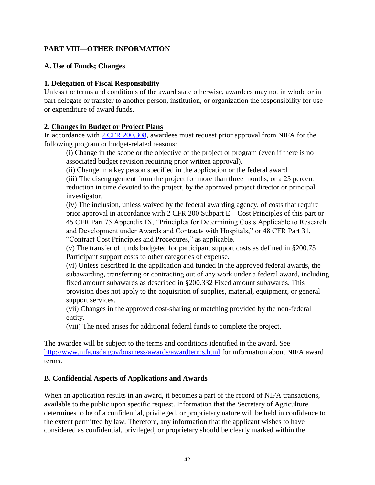# <span id="page-42-0"></span>**PART VIII—OTHER INFORMATION**

#### <span id="page-42-1"></span>**A. Use of Funds; Changes**

#### **1. Delegation of Fiscal Responsibility**

Unless the terms and conditions of the award state otherwise, awardees may not in whole or in part delegate or transfer to another person, institution, or organization the responsibility for use or expenditure of award funds.

#### **2. Changes in Budget or Project Plans**

In accordance with [2 CFR 200.308,](http://www.ecfr.gov/cgi-bin/text-idx?SID=3af89506559b05297e7d0334cb283e24&mc=true&node=se2.1.200_1308&rgn=div8) awardees must request prior approval from NIFA for the following program or budget-related reasons:

(i) Change in the scope or the objective of the project or program (even if there is no associated budget revision requiring prior written approval).

(ii) Change in a key person specified in the application or the federal award.

(iii) The disengagement from the project for more than three months, or a 25 percent reduction in time devoted to the project, by the approved project director or principal investigator.

(iv) The inclusion, unless waived by the federal awarding agency, of costs that require prior approval in accordance with 2 CFR 200 Subpart E—Cost Principles of this part or 45 CFR Part 75 Appendix IX, "Principles for Determining Costs Applicable to Research and Development under Awards and Contracts with Hospitals," or 48 CFR Part 31, "Contract Cost Principles and Procedures," as applicable.

(v) The transfer of funds budgeted for participant support costs as defined in §200.75 Participant support costs to other categories of expense.

(vi) Unless described in the application and funded in the approved federal awards, the subawarding, transferring or contracting out of any work under a federal award, including fixed amount subawards as described in §200.332 Fixed amount subawards. This provision does not apply to the acquisition of supplies, material, equipment, or general support services.

(vii) Changes in the approved cost-sharing or matching provided by the non-federal entity.

(viii) The need arises for additional federal funds to complete the project.

The awardee will be subject to the terms and conditions identified in the award. See <http://www.nifa.usda.gov/business/awards/awardterms.html> for information about NIFA award terms.

#### <span id="page-42-2"></span>**B. Confidential Aspects of Applications and Awards**

When an application results in an award, it becomes a part of the record of NIFA transactions, available to the public upon specific request. Information that the Secretary of Agriculture determines to be of a confidential, privileged, or proprietary nature will be held in confidence to the extent permitted by law. Therefore, any information that the applicant wishes to have considered as confidential, privileged, or proprietary should be clearly marked within the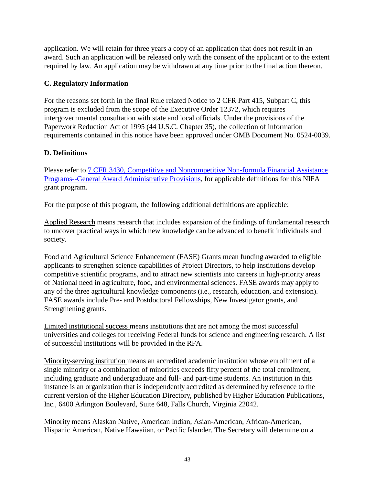application. We will retain for three years a copy of an application that does not result in an award. Such an application will be released only with the consent of the applicant or to the extent required by law. An application may be withdrawn at any time prior to the final action thereon.

# <span id="page-43-0"></span>**C. Regulatory Information**

For the reasons set forth in the final Rule related Notice to 2 CFR Part 415, Subpart C, this program is excluded from the scope of the Executive Order 12372, which requires intergovernmental consultation with state and local officials. Under the provisions of the Paperwork Reduction Act of 1995 (44 U.S.C. Chapter 35), the collection of information requirements contained in this notice have been approved under OMB Document No. 0524-0039.

# <span id="page-43-1"></span>**D. Definitions**

Please refer to [7 CFR 3430, Competitive and Noncompetitive Non-formula Financial Assistance](http://www.ecfr.gov/cgi-bin/text-idx?c=ecfr&SID=2a6f6bfbef4c918616eebe5353d0793c&rgn=div5&view=text&node=7:15.1.12.2.13&idno=7#7:15.1.12.2.13.1.17.2) Programs--General Award [Administrative Provisions,](http://www.ecfr.gov/cgi-bin/text-idx?c=ecfr&SID=2a6f6bfbef4c918616eebe5353d0793c&rgn=div5&view=text&node=7:15.1.12.2.13&idno=7#7:15.1.12.2.13.1.17.2) for applicable definitions for this NIFA grant program.

For the purpose of this program, the following additional definitions are applicable:

Applied Research means research that includes expansion of the findings of fundamental research to uncover practical ways in which new knowledge can be advanced to benefit individuals and society.

Food and Agricultural Science Enhancement (FASE) Grants mean funding awarded to eligible applicants to strengthen science capabilities of Project Directors, to help institutions develop competitive scientific programs, and to attract new scientists into careers in high-priority areas of National need in agriculture, food, and environmental sciences. FASE awards may apply to any of the three agricultural knowledge components (i.e., research, education, and extension). FASE awards include Pre- and Postdoctoral Fellowships, New Investigator grants, and Strengthening grants.

Limited institutional success means institutions that are not among the most successful universities and colleges for receiving Federal funds for science and engineering research. A list of successful institutions will be provided in the RFA.

Minority-serving institution means an accredited academic institution whose enrollment of a single minority or a combination of minorities exceeds fifty percent of the total enrollment, including graduate and undergraduate and full- and part-time students. An institution in this instance is an organization that is independently accredited as determined by reference to the current version of the Higher Education Directory, published by Higher Education Publications, Inc., 6400 Arlington Boulevard, Suite 648, Falls Church, Virginia 22042.

Minority means Alaskan Native, American Indian, Asian-American, African-American, Hispanic American, Native Hawaiian, or Pacific Islander. The Secretary will determine on a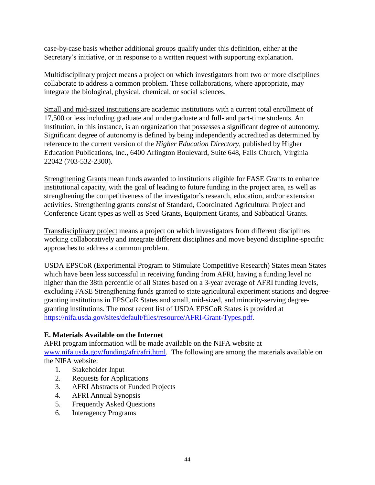case-by-case basis whether additional groups qualify under this definition, either at the Secretary's initiative, or in response to a written request with supporting explanation.

Multidisciplinary project means a project on which investigators from two or more disciplines collaborate to address a common problem. These collaborations, where appropriate, may integrate the biological, physical, chemical, or social sciences.

Small and mid-sized institutions are academic institutions with a current total enrollment of 17,500 or less including graduate and undergraduate and full- and part-time students. An institution, in this instance, is an organization that possesses a significant degree of autonomy. Significant degree of autonomy is defined by being independently accredited as determined by reference to the current version of the *Higher Education Directory*, published by Higher Education Publications, Inc., 6400 Arlington Boulevard, Suite 648, Falls Church, Virginia 22042 (703-532-2300).

Strengthening Grants mean funds awarded to institutions eligible for FASE Grants to enhance institutional capacity, with the goal of leading to future funding in the project area, as well as strengthening the competitiveness of the investigator's research, education, and/or extension activities. Strengthening grants consist of Standard, Coordinated Agricultural Project and Conference Grant types as well as Seed Grants, Equipment Grants, and Sabbatical Grants.

Transdisciplinary project means a project on which investigators from different disciplines working collaboratively and integrate different disciplines and move beyond discipline-specific approaches to address a common problem.

USDA EPSCoR (Experimental Program to Stimulate Competitive Research) States mean States which have been less successful in receiving funding from AFRI, having a funding level no higher than the 38th percentile of all States based on a 3-year average of AFRI funding levels, excluding FASE Strengthening funds granted to state agricultural experiment stations and degreegranting institutions in EPSCoR States and small, mid-sized, and minority-serving degreegranting institutions. The most recent list of USDA EPSCoR States is provided at [https://nifa.usda.gov/sites/default/files/resource/AFRI-Grant-Types.pdf.](https://nifa.usda.gov/sites/default/files/resource/AFRI-Grant-Types.pdf)

## <span id="page-44-0"></span>**E. Materials Available on the Internet**

AFRI program information will be made available on the NIFA website at [www.nifa.usda.gov/funding/afri/afri.html.](http://www.nifa.usda.gov/funding/afri/afri.html) The following are among the materials available on the NIFA website:

- 1. Stakeholder Input
- 2. Requests for Applications
- 3. AFRI Abstracts of Funded Projects
- 4. AFRI Annual Synopsis
- 5. Frequently Asked Questions
- 6. Interagency Programs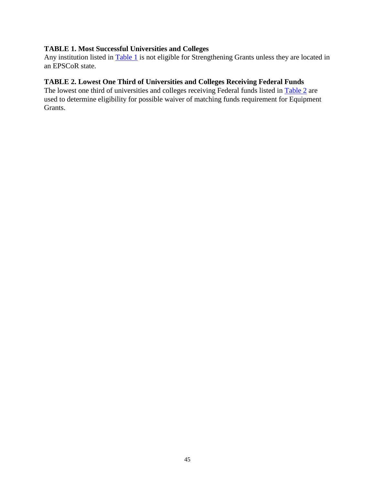## <span id="page-45-0"></span>**TABLE 1. Most Successful Universities and Colleges**

Any institution listed in [Table 1](https://nifa.usda.gov/sites/default/files/resource/Table-1-Most-Successful-Institutions.pdf) is not eligible for Strengthening Grants unless they are located in an EPSCoR state.

# <span id="page-45-1"></span>**TABLE 2. Lowest One Third of Universities and Colleges Receiving Federal Funds**

The lowest one third of universities and colleges receiving Federal funds listed in [Table 2](https://nifa.usda.gov/sites/default/files/resource/Table-2-Least-Successful-Institutions.pdf) are used to determine eligibility for possible waiver of matching funds requirement for Equipment Grants.